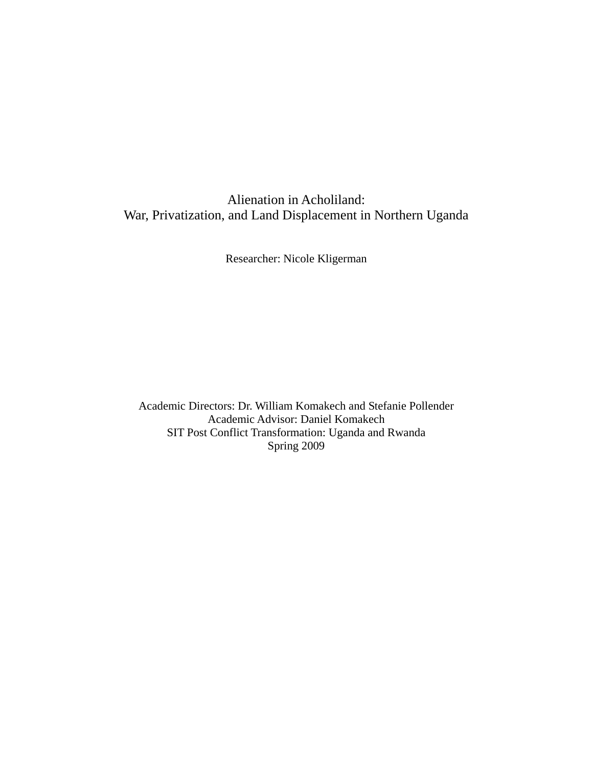# Alienation in Acholiland: War, Privatization, and Land Displacement in Northern Uganda

Researcher: Nicole Kligerman

Academic Directors: Dr. William Komakech and Stefanie Pollender Academic Advisor: Daniel Komakech SIT Post Conflict Transformation: Uganda and Rwanda Spring 2009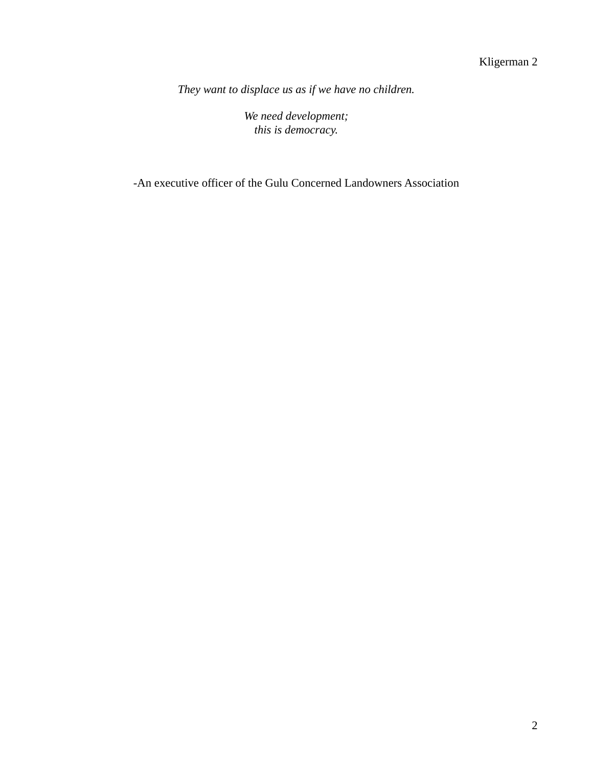*They want to displace us as if we have no children.* 

*We need development; this is democracy.*

-An executive officer of the Gulu Concerned Landowners Association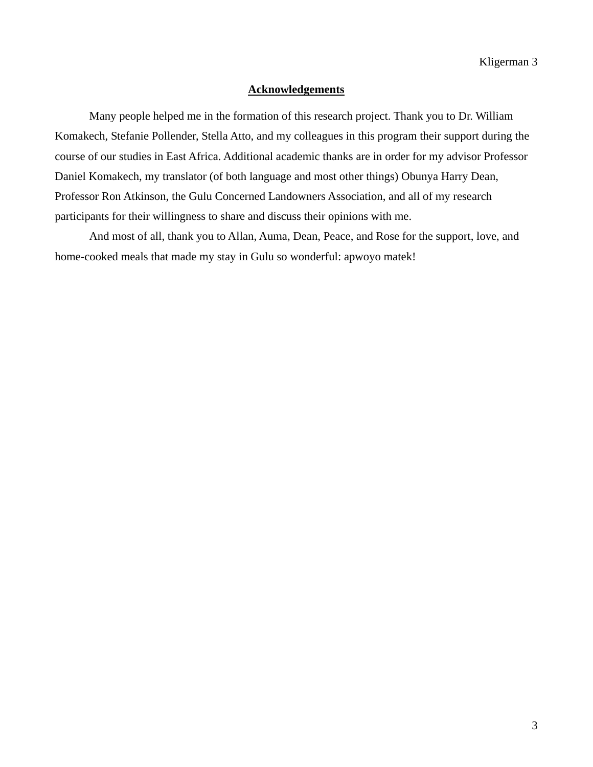### **Acknowledgements**

 Many people helped me in the formation of this research project. Thank you to Dr. William Komakech, Stefanie Pollender, Stella Atto, and my colleagues in this program their support during the course of our studies in East Africa. Additional academic thanks are in order for my advisor Professor Daniel Komakech, my translator (of both language and most other things) Obunya Harry Dean, Professor Ron Atkinson, the Gulu Concerned Landowners Association, and all of my research participants for their willingness to share and discuss their opinions with me.

 And most of all, thank you to Allan, Auma, Dean, Peace, and Rose for the support, love, and home-cooked meals that made my stay in Gulu so wonderful: apwoyo matek!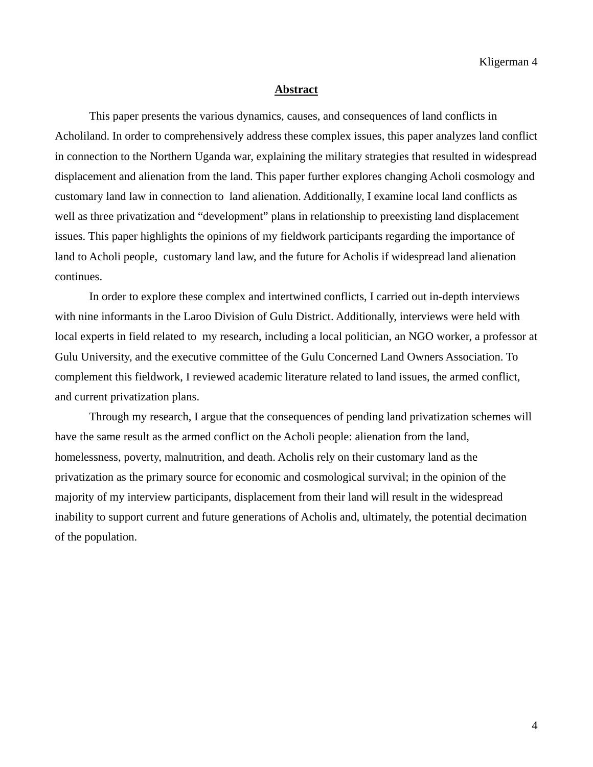#### **Abstract**

 This paper presents the various dynamics, causes, and consequences of land conflicts in Acholiland. In order to comprehensively address these complex issues, this paper analyzes land conflict in connection to the Northern Uganda war, explaining the military strategies that resulted in widespread displacement and alienation from the land. This paper further explores changing Acholi cosmology and customary land law in connection to land alienation. Additionally, I examine local land conflicts as well as three privatization and "development" plans in relationship to preexisting land displacement issues. This paper highlights the opinions of my fieldwork participants regarding the importance of land to Acholi people, customary land law, and the future for Acholis if widespread land alienation continues.

 In order to explore these complex and intertwined conflicts, I carried out in-depth interviews with nine informants in the Laroo Division of Gulu District. Additionally, interviews were held with local experts in field related to my research, including a local politician, an NGO worker, a professor at Gulu University, and the executive committee of the Gulu Concerned Land Owners Association. To complement this fieldwork, I reviewed academic literature related to land issues, the armed conflict, and current privatization plans.

 Through my research, I argue that the consequences of pending land privatization schemes will have the same result as the armed conflict on the Acholi people: alienation from the land, homelessness, poverty, malnutrition, and death. Acholis rely on their customary land as the privatization as the primary source for economic and cosmological survival; in the opinion of the majority of my interview participants, displacement from their land will result in the widespread inability to support current and future generations of Acholis and, ultimately, the potential decimation of the population.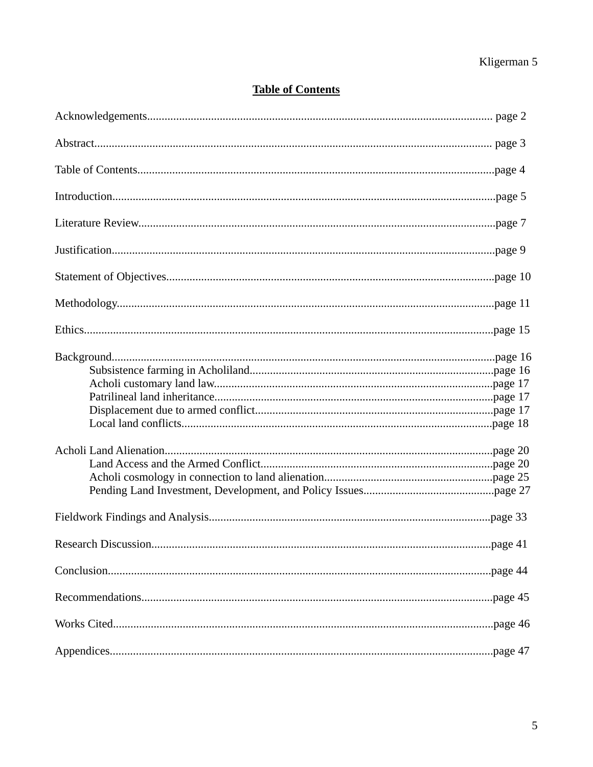# **Table of Contents**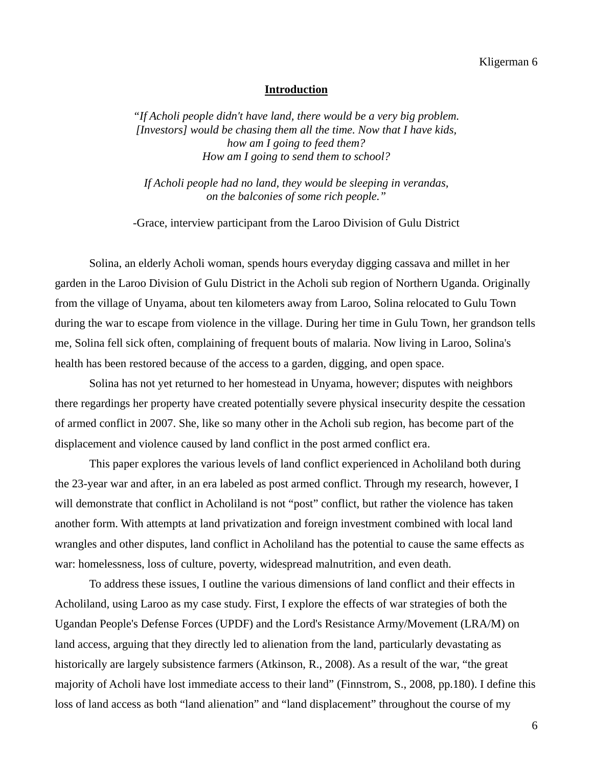#### **Introduction**

*"If Acholi people didn't have land, there would be a very big problem. [Investors] would be chasing them all the time. Now that I have kids, how am I going to feed them? How am I going to send them to school?* 

*If Acholi people had no land, they would be sleeping in verandas, on the balconies of some rich people."* 

-Grace, interview participant from the Laroo Division of Gulu District

 Solina, an elderly Acholi woman, spends hours everyday digging cassava and millet in her garden in the Laroo Division of Gulu District in the Acholi sub region of Northern Uganda. Originally from the village of Unyama, about ten kilometers away from Laroo, Solina relocated to Gulu Town during the war to escape from violence in the village. During her time in Gulu Town, her grandson tells me, Solina fell sick often, complaining of frequent bouts of malaria. Now living in Laroo, Solina's health has been restored because of the access to a garden, digging, and open space.

 Solina has not yet returned to her homestead in Unyama, however; disputes with neighbors there regardings her property have created potentially severe physical insecurity despite the cessation of armed conflict in 2007. She, like so many other in the Acholi sub region, has become part of the displacement and violence caused by land conflict in the post armed conflict era.

 This paper explores the various levels of land conflict experienced in Acholiland both during the 23-year war and after, in an era labeled as post armed conflict. Through my research, however, I will demonstrate that conflict in Acholiland is not "post" conflict, but rather the violence has taken another form. With attempts at land privatization and foreign investment combined with local land wrangles and other disputes, land conflict in Acholiland has the potential to cause the same effects as war: homelessness, loss of culture, poverty, widespread malnutrition, and even death.

 To address these issues, I outline the various dimensions of land conflict and their effects in Acholiland, using Laroo as my case study. First, I explore the effects of war strategies of both the Ugandan People's Defense Forces (UPDF) and the Lord's Resistance Army/Movement (LRA/M) on land access, arguing that they directly led to alienation from the land, particularly devastating as historically are largely subsistence farmers (Atkinson, R., 2008). As a result of the war, "the great majority of Acholi have lost immediate access to their land" (Finnstrom, S., 2008, pp.180). I define this loss of land access as both "land alienation" and "land displacement" throughout the course of my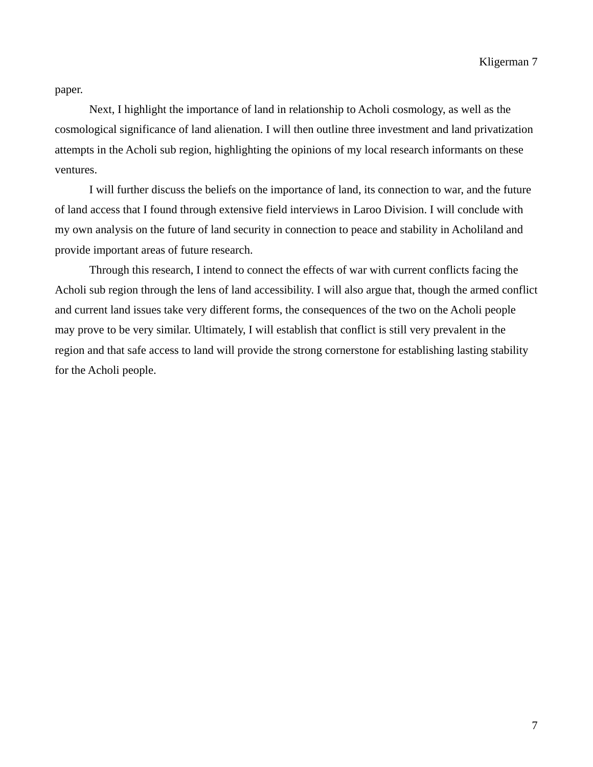paper.

 Next, I highlight the importance of land in relationship to Acholi cosmology, as well as the cosmological significance of land alienation. I will then outline three investment and land privatization attempts in the Acholi sub region, highlighting the opinions of my local research informants on these ventures.

 I will further discuss the beliefs on the importance of land, its connection to war, and the future of land access that I found through extensive field interviews in Laroo Division. I will conclude with my own analysis on the future of land security in connection to peace and stability in Acholiland and provide important areas of future research.

 Through this research, I intend to connect the effects of war with current conflicts facing the Acholi sub region through the lens of land accessibility. I will also argue that, though the armed conflict and current land issues take very different forms, the consequences of the two on the Acholi people may prove to be very similar. Ultimately, I will establish that conflict is still very prevalent in the region and that safe access to land will provide the strong cornerstone for establishing lasting stability for the Acholi people.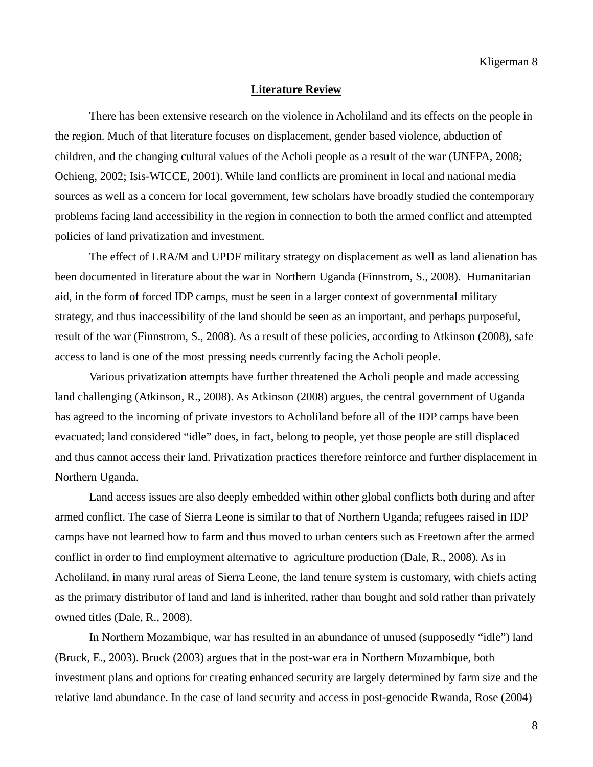#### **Literature Review**

There has been extensive research on the violence in Acholiland and its effects on the people in the region. Much of that literature focuses on displacement, gender based violence, abduction of children, and the changing cultural values of the Acholi people as a result of the war (UNFPA, 2008; Ochieng, 2002; Isis-WICCE, 2001). While land conflicts are prominent in local and national media sources as well as a concern for local government, few scholars have broadly studied the contemporary problems facing land accessibility in the region in connection to both the armed conflict and attempted policies of land privatization and investment.

 The effect of LRA/M and UPDF military strategy on displacement as well as land alienation has been documented in literature about the war in Northern Uganda (Finnstrom, S., 2008). Humanitarian aid, in the form of forced IDP camps, must be seen in a larger context of governmental military strategy, and thus inaccessibility of the land should be seen as an important, and perhaps purposeful, result of the war (Finnstrom, S., 2008). As a result of these policies, according to Atkinson (2008), safe access to land is one of the most pressing needs currently facing the Acholi people.

 Various privatization attempts have further threatened the Acholi people and made accessing land challenging (Atkinson, R., 2008). As Atkinson (2008) argues, the central government of Uganda has agreed to the incoming of private investors to Acholiland before all of the IDP camps have been evacuated; land considered "idle" does, in fact, belong to people, yet those people are still displaced and thus cannot access their land. Privatization practices therefore reinforce and further displacement in Northern Uganda.

 Land access issues are also deeply embedded within other global conflicts both during and after armed conflict. The case of Sierra Leone is similar to that of Northern Uganda; refugees raised in IDP camps have not learned how to farm and thus moved to urban centers such as Freetown after the armed conflict in order to find employment alternative to agriculture production (Dale, R., 2008). As in Acholiland, in many rural areas of Sierra Leone, the land tenure system is customary, with chiefs acting as the primary distributor of land and land is inherited, rather than bought and sold rather than privately owned titles (Dale, R., 2008).

 In Northern Mozambique, war has resulted in an abundance of unused (supposedly "idle") land (Bruck, E., 2003). Bruck (2003) argues that in the post-war era in Northern Mozambique, both investment plans and options for creating enhanced security are largely determined by farm size and the relative land abundance. In the case of land security and access in post-genocide Rwanda, Rose (2004)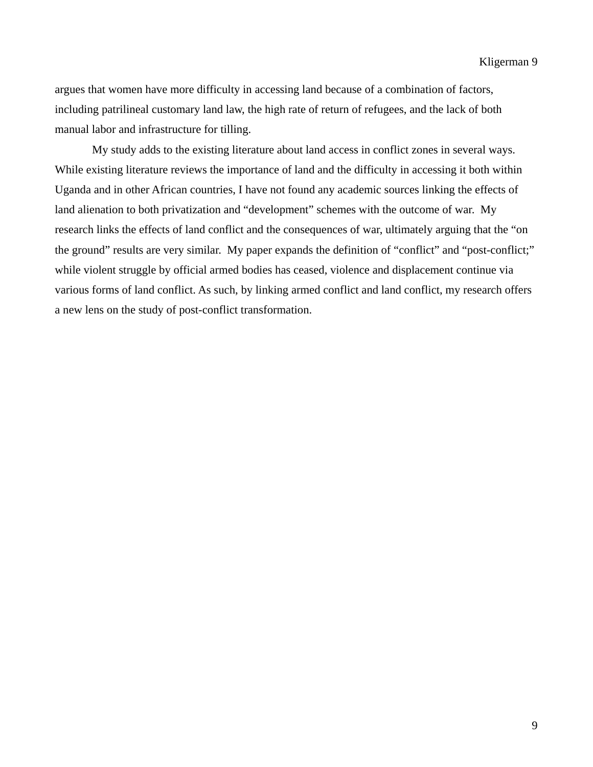argues that women have more difficulty in accessing land because of a combination of factors, including patrilineal customary land law, the high rate of return of refugees, and the lack of both manual labor and infrastructure for tilling.

 My study adds to the existing literature about land access in conflict zones in several ways. While existing literature reviews the importance of land and the difficulty in accessing it both within Uganda and in other African countries, I have not found any academic sources linking the effects of land alienation to both privatization and "development" schemes with the outcome of war. My research links the effects of land conflict and the consequences of war, ultimately arguing that the "on the ground" results are very similar. My paper expands the definition of "conflict" and "post-conflict;" while violent struggle by official armed bodies has ceased, violence and displacement continue via various forms of land conflict. As such, by linking armed conflict and land conflict, my research offers a new lens on the study of post-conflict transformation.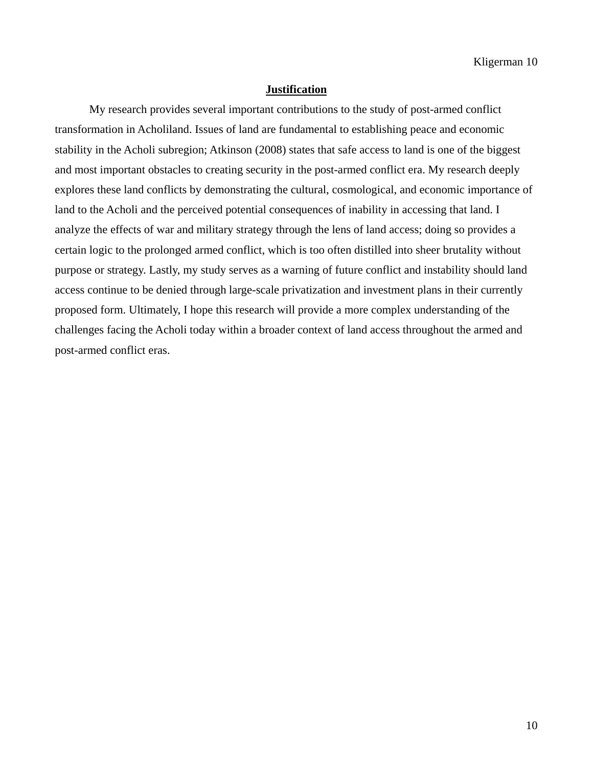### **Justification**

My research provides several important contributions to the study of post-armed conflict transformation in Acholiland. Issues of land are fundamental to establishing peace and economic stability in the Acholi subregion; Atkinson (2008) states that safe access to land is one of the biggest and most important obstacles to creating security in the post-armed conflict era. My research deeply explores these land conflicts by demonstrating the cultural, cosmological, and economic importance of land to the Acholi and the perceived potential consequences of inability in accessing that land. I analyze the effects of war and military strategy through the lens of land access; doing so provides a certain logic to the prolonged armed conflict, which is too often distilled into sheer brutality without purpose or strategy. Lastly, my study serves as a warning of future conflict and instability should land access continue to be denied through large-scale privatization and investment plans in their currently proposed form. Ultimately, I hope this research will provide a more complex understanding of the challenges facing the Acholi today within a broader context of land access throughout the armed and post-armed conflict eras.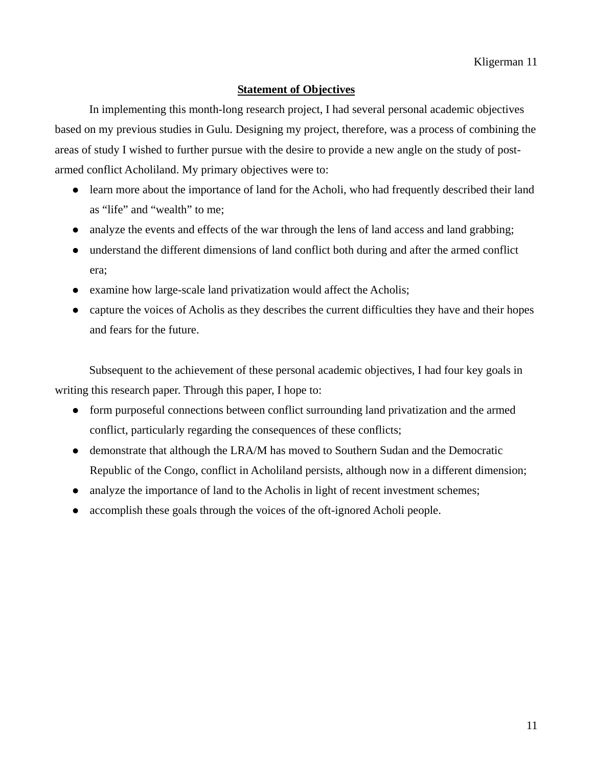## **Statement of Objectives**

In implementing this month-long research project, I had several personal academic objectives based on my previous studies in Gulu. Designing my project, therefore, was a process of combining the areas of study I wished to further pursue with the desire to provide a new angle on the study of postarmed conflict Acholiland. My primary objectives were to:

- learn more about the importance of land for the Acholi, who had frequently described their land as "life" and "wealth" to me;
- analyze the events and effects of the war through the lens of land access and land grabbing;
- understand the different dimensions of land conflict both during and after the armed conflict era;
- $\bullet$  examine how large-scale land privatization would affect the Acholis;
- capture the voices of Acholis as they describes the current difficulties they have and their hopes and fears for the future.

 Subsequent to the achievement of these personal academic objectives, I had four key goals in writing this research paper. Through this paper, I hope to:

- form purposeful connections between conflict surrounding land privatization and the armed conflict, particularly regarding the consequences of these conflicts;
- demonstrate that although the LRA/M has moved to Southern Sudan and the Democratic Republic of the Congo, conflict in Acholiland persists, although now in a different dimension;
- analyze the importance of land to the Acholis in light of recent investment schemes;
- accomplish these goals through the voices of the oft-ignored Acholi people.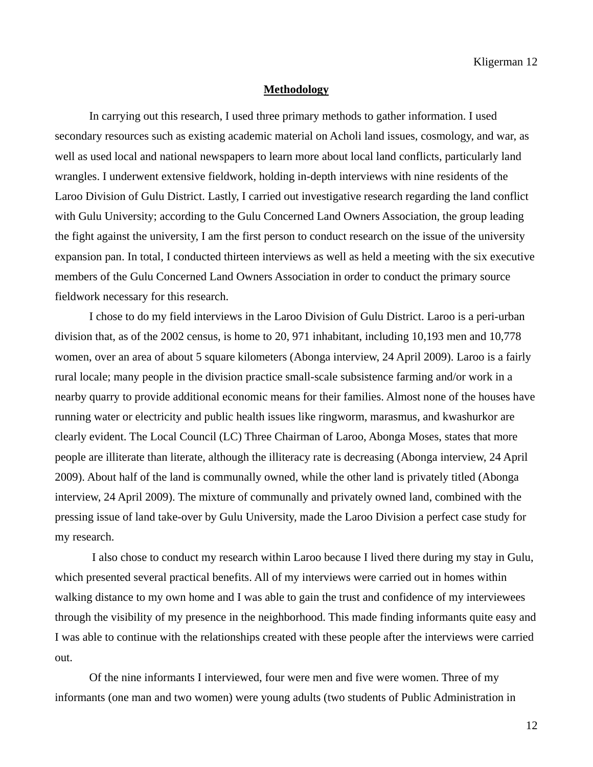#### **Methodology**

 In carrying out this research, I used three primary methods to gather information. I used secondary resources such as existing academic material on Acholi land issues, cosmology, and war, as well as used local and national newspapers to learn more about local land conflicts, particularly land wrangles. I underwent extensive fieldwork, holding in-depth interviews with nine residents of the Laroo Division of Gulu District. Lastly, I carried out investigative research regarding the land conflict with Gulu University; according to the Gulu Concerned Land Owners Association, the group leading the fight against the university, I am the first person to conduct research on the issue of the university expansion pan. In total, I conducted thirteen interviews as well as held a meeting with the six executive members of the Gulu Concerned Land Owners Association in order to conduct the primary source fieldwork necessary for this research.

 I chose to do my field interviews in the Laroo Division of Gulu District. Laroo is a peri-urban division that, as of the 2002 census, is home to 20, 971 inhabitant, including 10,193 men and 10,778 women, over an area of about 5 square kilometers (Abonga interview, 24 April 2009). Laroo is a fairly rural locale; many people in the division practice small-scale subsistence farming and/or work in a nearby quarry to provide additional economic means for their families. Almost none of the houses have running water or electricity and public health issues like ringworm, marasmus, and kwashurkor are clearly evident. The Local Council (LC) Three Chairman of Laroo, Abonga Moses, states that more people are illiterate than literate, although the illiteracy rate is decreasing (Abonga interview, 24 April 2009). About half of the land is communally owned, while the other land is privately titled (Abonga interview, 24 April 2009). The mixture of communally and privately owned land, combined with the pressing issue of land take-over by Gulu University, made the Laroo Division a perfect case study for my research.

 I also chose to conduct my research within Laroo because I lived there during my stay in Gulu, which presented several practical benefits. All of my interviews were carried out in homes within walking distance to my own home and I was able to gain the trust and confidence of my interviewees through the visibility of my presence in the neighborhood. This made finding informants quite easy and I was able to continue with the relationships created with these people after the interviews were carried out.

 Of the nine informants I interviewed, four were men and five were women. Three of my informants (one man and two women) were young adults (two students of Public Administration in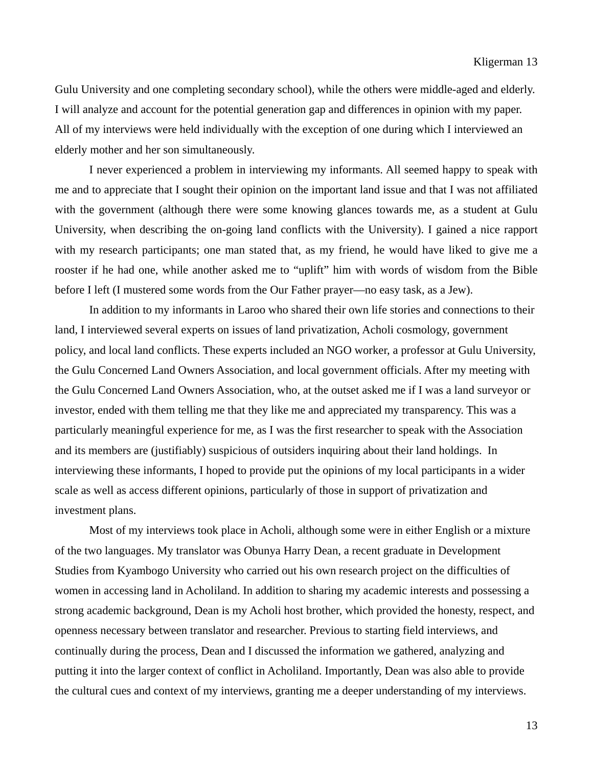Gulu University and one completing secondary school), while the others were middle-aged and elderly. I will analyze and account for the potential generation gap and differences in opinion with my paper. All of my interviews were held individually with the exception of one during which I interviewed an elderly mother and her son simultaneously.

 I never experienced a problem in interviewing my informants. All seemed happy to speak with me and to appreciate that I sought their opinion on the important land issue and that I was not affiliated with the government (although there were some knowing glances towards me, as a student at Gulu University, when describing the on-going land conflicts with the University). I gained a nice rapport with my research participants; one man stated that, as my friend, he would have liked to give me a rooster if he had one, while another asked me to "uplift" him with words of wisdom from the Bible before I left (I mustered some words from the Our Father prayer—no easy task, as a Jew).

 In addition to my informants in Laroo who shared their own life stories and connections to their land, I interviewed several experts on issues of land privatization, Acholi cosmology, government policy, and local land conflicts. These experts included an NGO worker, a professor at Gulu University, the Gulu Concerned Land Owners Association, and local government officials. After my meeting with the Gulu Concerned Land Owners Association, who, at the outset asked me if I was a land surveyor or investor, ended with them telling me that they like me and appreciated my transparency. This was a particularly meaningful experience for me, as I was the first researcher to speak with the Association and its members are (justifiably) suspicious of outsiders inquiring about their land holdings. In interviewing these informants, I hoped to provide put the opinions of my local participants in a wider scale as well as access different opinions, particularly of those in support of privatization and investment plans.

 Most of my interviews took place in Acholi, although some were in either English or a mixture of the two languages. My translator was Obunya Harry Dean, a recent graduate in Development Studies from Kyambogo University who carried out his own research project on the difficulties of women in accessing land in Acholiland. In addition to sharing my academic interests and possessing a strong academic background, Dean is my Acholi host brother, which provided the honesty, respect, and openness necessary between translator and researcher. Previous to starting field interviews, and continually during the process, Dean and I discussed the information we gathered, analyzing and putting it into the larger context of conflict in Acholiland. Importantly, Dean was also able to provide the cultural cues and context of my interviews, granting me a deeper understanding of my interviews.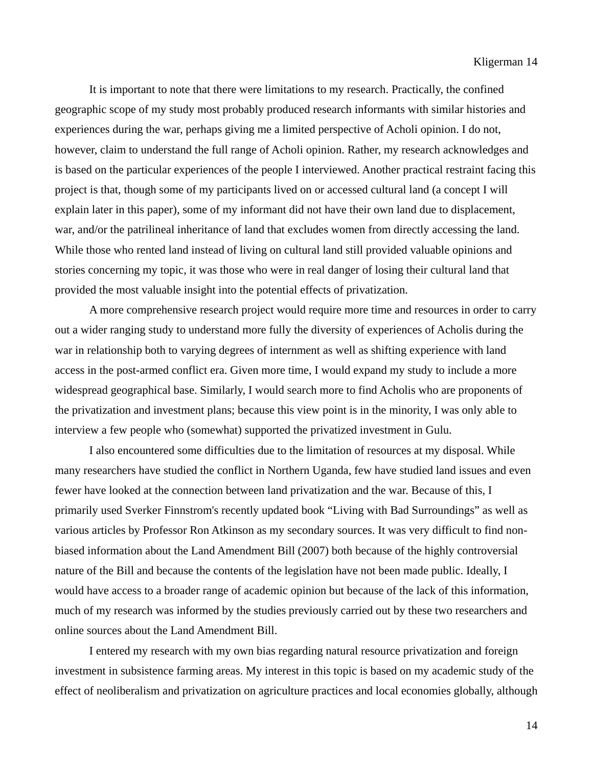It is important to note that there were limitations to my research. Practically, the confined geographic scope of my study most probably produced research informants with similar histories and experiences during the war, perhaps giving me a limited perspective of Acholi opinion. I do not, however, claim to understand the full range of Acholi opinion. Rather, my research acknowledges and is based on the particular experiences of the people I interviewed. Another practical restraint facing this project is that, though some of my participants lived on or accessed cultural land (a concept I will explain later in this paper), some of my informant did not have their own land due to displacement, war, and/or the patrilineal inheritance of land that excludes women from directly accessing the land. While those who rented land instead of living on cultural land still provided valuable opinions and stories concerning my topic, it was those who were in real danger of losing their cultural land that provided the most valuable insight into the potential effects of privatization.

 A more comprehensive research project would require more time and resources in order to carry out a wider ranging study to understand more fully the diversity of experiences of Acholis during the war in relationship both to varying degrees of internment as well as shifting experience with land access in the post-armed conflict era. Given more time, I would expand my study to include a more widespread geographical base. Similarly, I would search more to find Acholis who are proponents of the privatization and investment plans; because this view point is in the minority, I was only able to interview a few people who (somewhat) supported the privatized investment in Gulu.

 I also encountered some difficulties due to the limitation of resources at my disposal. While many researchers have studied the conflict in Northern Uganda, few have studied land issues and even fewer have looked at the connection between land privatization and the war. Because of this, I primarily used Sverker Finnstrom's recently updated book "Living with Bad Surroundings" as well as various articles by Professor Ron Atkinson as my secondary sources. It was very difficult to find nonbiased information about the Land Amendment Bill (2007) both because of the highly controversial nature of the Bill and because the contents of the legislation have not been made public. Ideally, I would have access to a broader range of academic opinion but because of the lack of this information, much of my research was informed by the studies previously carried out by these two researchers and online sources about the Land Amendment Bill.

 I entered my research with my own bias regarding natural resource privatization and foreign investment in subsistence farming areas. My interest in this topic is based on my academic study of the effect of neoliberalism and privatization on agriculture practices and local economies globally, although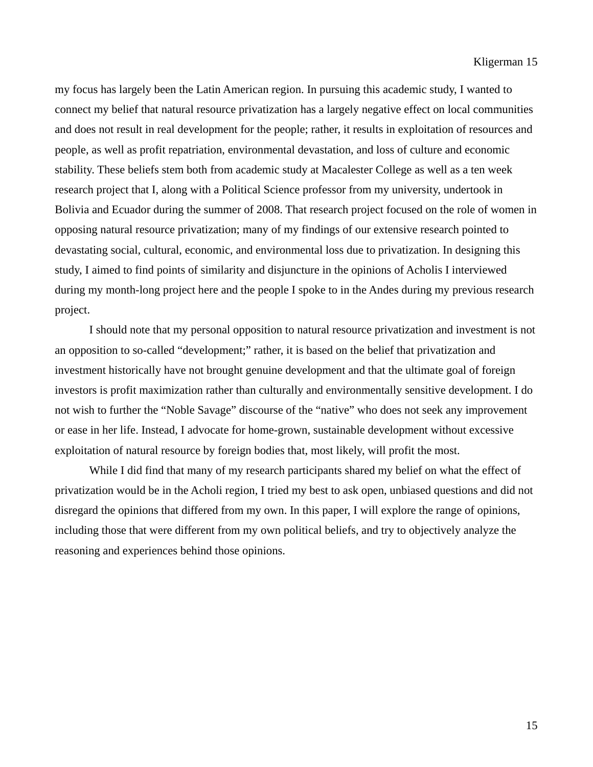my focus has largely been the Latin American region. In pursuing this academic study, I wanted to connect my belief that natural resource privatization has a largely negative effect on local communities and does not result in real development for the people; rather, it results in exploitation of resources and people, as well as profit repatriation, environmental devastation, and loss of culture and economic stability. These beliefs stem both from academic study at Macalester College as well as a ten week research project that I, along with a Political Science professor from my university, undertook in Bolivia and Ecuador during the summer of 2008. That research project focused on the role of women in opposing natural resource privatization; many of my findings of our extensive research pointed to devastating social, cultural, economic, and environmental loss due to privatization. In designing this study, I aimed to find points of similarity and disjuncture in the opinions of Acholis I interviewed during my month-long project here and the people I spoke to in the Andes during my previous research project.

 I should note that my personal opposition to natural resource privatization and investment is not an opposition to so-called "development;" rather, it is based on the belief that privatization and investment historically have not brought genuine development and that the ultimate goal of foreign investors is profit maximization rather than culturally and environmentally sensitive development. I do not wish to further the "Noble Savage" discourse of the "native" who does not seek any improvement or ease in her life. Instead, I advocate for home-grown, sustainable development without excessive exploitation of natural resource by foreign bodies that, most likely, will profit the most.

While I did find that many of my research participants shared my belief on what the effect of privatization would be in the Acholi region, I tried my best to ask open, unbiased questions and did not disregard the opinions that differed from my own. In this paper, I will explore the range of opinions, including those that were different from my own political beliefs, and try to objectively analyze the reasoning and experiences behind those opinions.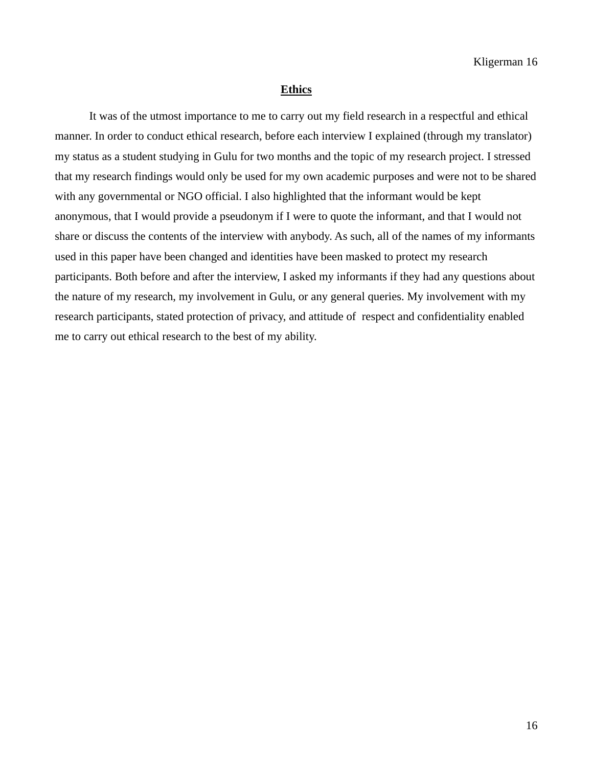#### **Ethics**

 It was of the utmost importance to me to carry out my field research in a respectful and ethical manner. In order to conduct ethical research, before each interview I explained (through my translator) my status as a student studying in Gulu for two months and the topic of my research project. I stressed that my research findings would only be used for my own academic purposes and were not to be shared with any governmental or NGO official. I also highlighted that the informant would be kept anonymous, that I would provide a pseudonym if I were to quote the informant, and that I would not share or discuss the contents of the interview with anybody. As such, all of the names of my informants used in this paper have been changed and identities have been masked to protect my research participants. Both before and after the interview, I asked my informants if they had any questions about the nature of my research, my involvement in Gulu, or any general queries. My involvement with my research participants, stated protection of privacy, and attitude of respect and confidentiality enabled me to carry out ethical research to the best of my ability.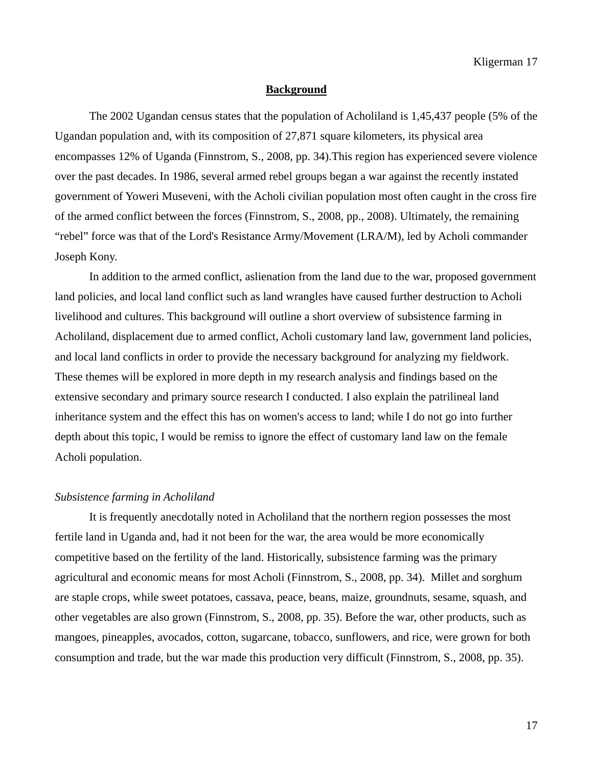#### **Background**

 The 2002 Ugandan census states that the population of Acholiland is 1,45,437 people (5% of the Ugandan population and, with its composition of 27,871 square kilometers, its physical area encompasses 12% of Uganda (Finnstrom, S., 2008, pp. 34).This region has experienced severe violence over the past decades. In 1986, several armed rebel groups began a war against the recently instated government of Yoweri Museveni, with the Acholi civilian population most often caught in the cross fire of the armed conflict between the forces (Finnstrom, S., 2008, pp., 2008). Ultimately, the remaining "rebel" force was that of the Lord's Resistance Army/Movement (LRA/M), led by Acholi commander Joseph Kony.

 In addition to the armed conflict, aslienation from the land due to the war, proposed government land policies, and local land conflict such as land wrangles have caused further destruction to Acholi livelihood and cultures. This background will outline a short overview of subsistence farming in Acholiland, displacement due to armed conflict, Acholi customary land law, government land policies, and local land conflicts in order to provide the necessary background for analyzing my fieldwork. These themes will be explored in more depth in my research analysis and findings based on the extensive secondary and primary source research I conducted. I also explain the patrilineal land inheritance system and the effect this has on women's access to land; while I do not go into further depth about this topic, I would be remiss to ignore the effect of customary land law on the female Acholi population.

### *Subsistence farming in Acholiland*

 It is frequently anecdotally noted in Acholiland that the northern region possesses the most fertile land in Uganda and, had it not been for the war, the area would be more economically competitive based on the fertility of the land. Historically, subsistence farming was the primary agricultural and economic means for most Acholi (Finnstrom, S., 2008, pp. 34). Millet and sorghum are staple crops, while sweet potatoes, cassava, peace, beans, maize, groundnuts, sesame, squash, and other vegetables are also grown (Finnstrom, S., 2008, pp. 35). Before the war, other products, such as mangoes, pineapples, avocados, cotton, sugarcane, tobacco, sunflowers, and rice, were grown for both consumption and trade, but the war made this production very difficult (Finnstrom, S., 2008, pp. 35).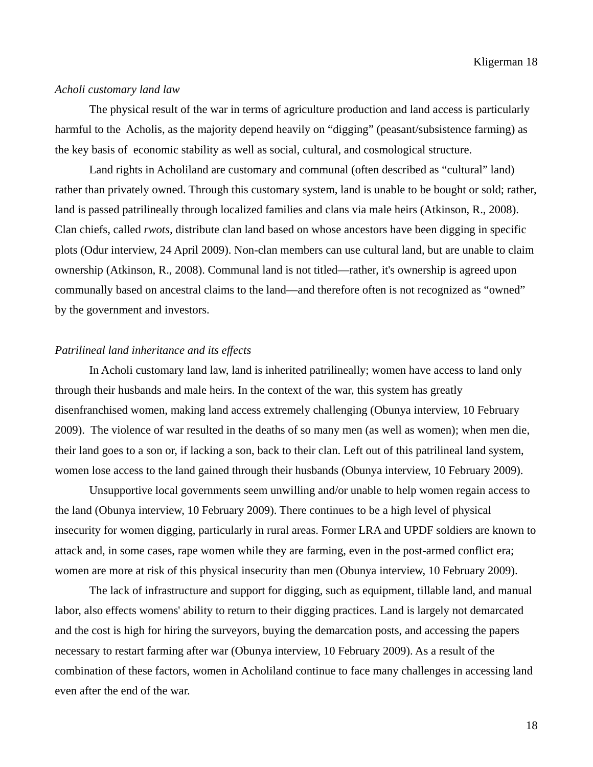### *Acholi customary land law*

 The physical result of the war in terms of agriculture production and land access is particularly harmful to the Acholis, as the majority depend heavily on "digging" (peasant/subsistence farming) as the key basis of economic stability as well as social, cultural, and cosmological structure.

 Land rights in Acholiland are customary and communal (often described as "cultural" land) rather than privately owned. Through this customary system, land is unable to be bought or sold; rather, land is passed patrilineally through localized families and clans via male heirs (Atkinson, R., 2008). Clan chiefs, called *rwots,* distribute clan land based on whose ancestors have been digging in specific plots (Odur interview, 24 April 2009). Non-clan members can use cultural land, but are unable to claim ownership (Atkinson, R., 2008). Communal land is not titled—rather, it's ownership is agreed upon communally based on ancestral claims to the land—and therefore often is not recognized as "owned" by the government and investors.

#### *Patrilineal land inheritance and its effects*

In Acholi customary land law, land is inherited patrilineally; women have access to land only through their husbands and male heirs. In the context of the war, this system has greatly disenfranchised women, making land access extremely challenging (Obunya interview, 10 February 2009). The violence of war resulted in the deaths of so many men (as well as women); when men die, their land goes to a son or, if lacking a son, back to their clan. Left out of this patrilineal land system, women lose access to the land gained through their husbands (Obunya interview, 10 February 2009).

 Unsupportive local governments seem unwilling and/or unable to help women regain access to the land (Obunya interview, 10 February 2009). There continues to be a high level of physical insecurity for women digging, particularly in rural areas. Former LRA and UPDF soldiers are known to attack and, in some cases, rape women while they are farming, even in the post-armed conflict era; women are more at risk of this physical insecurity than men (Obunya interview, 10 February 2009).

 The lack of infrastructure and support for digging, such as equipment, tillable land, and manual labor, also effects womens' ability to return to their digging practices. Land is largely not demarcated and the cost is high for hiring the surveyors, buying the demarcation posts, and accessing the papers necessary to restart farming after war (Obunya interview, 10 February 2009). As a result of the combination of these factors, women in Acholiland continue to face many challenges in accessing land even after the end of the war.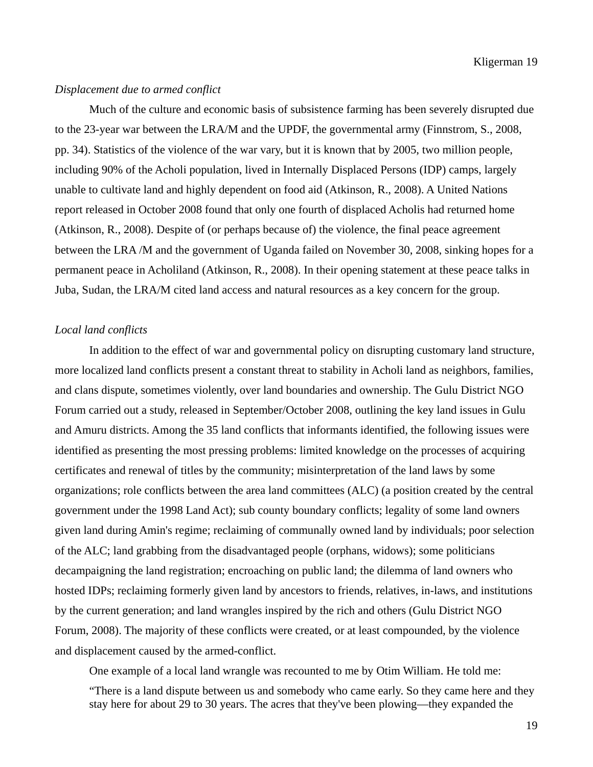### *Displacement due to armed conflict*

 Much of the culture and economic basis of subsistence farming has been severely disrupted due to the 23-year war between the LRA/M and the UPDF, the governmental army (Finnstrom, S., 2008, pp. 34). Statistics of the violence of the war vary, but it is known that by 2005, two million people, including 90% of the Acholi population, lived in Internally Displaced Persons (IDP) camps, largely unable to cultivate land and highly dependent on food aid (Atkinson, R., 2008). A United Nations report released in October 2008 found that only one fourth of displaced Acholis had returned home (Atkinson, R., 2008). Despite of (or perhaps because of) the violence, the final peace agreement between the LRA /M and the government of Uganda failed on November 30, 2008, sinking hopes for a permanent peace in Acholiland (Atkinson, R., 2008). In their opening statement at these peace talks in Juba, Sudan, the LRA/M cited land access and natural resources as a key concern for the group.

#### *Local land conflicts*

 In addition to the effect of war and governmental policy on disrupting customary land structure, more localized land conflicts present a constant threat to stability in Acholi land as neighbors, families, and clans dispute, sometimes violently, over land boundaries and ownership. The Gulu District NGO Forum carried out a study, released in September/October 2008, outlining the key land issues in Gulu and Amuru districts. Among the 35 land conflicts that informants identified, the following issues were identified as presenting the most pressing problems: limited knowledge on the processes of acquiring certificates and renewal of titles by the community; misinterpretation of the land laws by some organizations; role conflicts between the area land committees (ALC) (a position created by the central government under the 1998 Land Act); sub county boundary conflicts; legality of some land owners given land during Amin's regime; reclaiming of communally owned land by individuals; poor selection of the ALC; land grabbing from the disadvantaged people (orphans, widows); some politicians decampaigning the land registration; encroaching on public land; the dilemma of land owners who hosted IDPs; reclaiming formerly given land by ancestors to friends, relatives, in-laws, and institutions by the current generation; and land wrangles inspired by the rich and others (Gulu District NGO Forum, 2008). The majority of these conflicts were created, or at least compounded, by the violence and displacement caused by the armed-conflict.

One example of a local land wrangle was recounted to me by Otim William. He told me:

 "There is a land dispute between us and somebody who came early. So they came here and they stay here for about 29 to 30 years. The acres that they've been plowing—they expanded the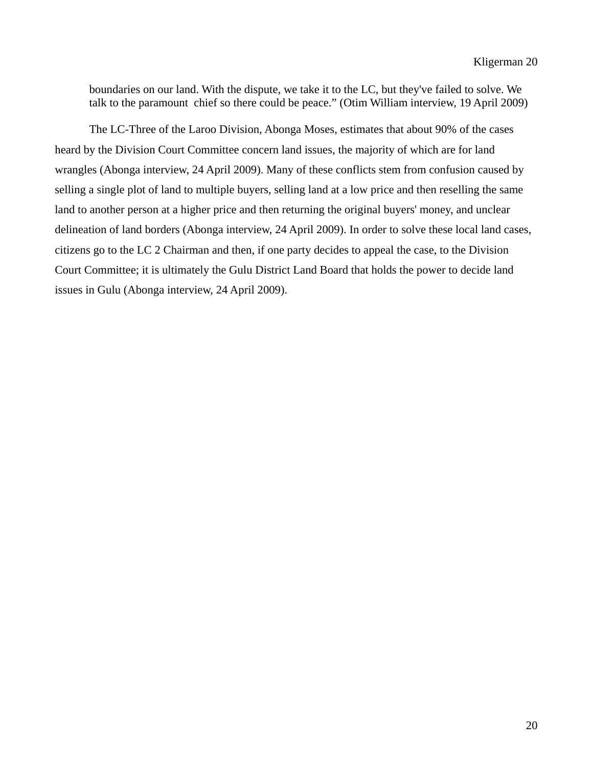boundaries on our land. With the dispute, we take it to the LC, but they've failed to solve. We talk to the paramount chief so there could be peace." (Otim William interview, 19 April 2009)

 The LC-Three of the Laroo Division, Abonga Moses, estimates that about 90% of the cases heard by the Division Court Committee concern land issues, the majority of which are for land wrangles (Abonga interview, 24 April 2009). Many of these conflicts stem from confusion caused by selling a single plot of land to multiple buyers, selling land at a low price and then reselling the same land to another person at a higher price and then returning the original buyers' money, and unclear delineation of land borders (Abonga interview, 24 April 2009). In order to solve these local land cases, citizens go to the LC 2 Chairman and then, if one party decides to appeal the case, to the Division Court Committee; it is ultimately the Gulu District Land Board that holds the power to decide land issues in Gulu (Abonga interview, 24 April 2009).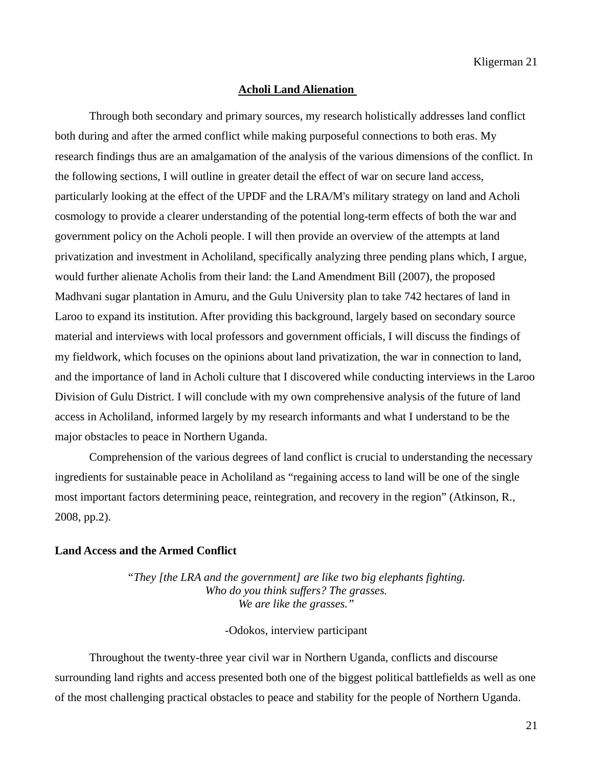#### **Acholi Land Alienation**

Through both secondary and primary sources, my research holistically addresses land conflict both during and after the armed conflict while making purposeful connections to both eras. My research findings thus are an amalgamation of the analysis of the various dimensions of the conflict. In the following sections, I will outline in greater detail the effect of war on secure land access, particularly looking at the effect of the UPDF and the LRA/M's military strategy on land and Acholi cosmology to provide a clearer understanding of the potential long-term effects of both the war and government policy on the Acholi people. I will then provide an overview of the attempts at land privatization and investment in Acholiland, specifically analyzing three pending plans which, I argue, would further alienate Acholis from their land: the Land Amendment Bill (2007), the proposed Madhvani sugar plantation in Amuru, and the Gulu University plan to take 742 hectares of land in Laroo to expand its institution. After providing this background, largely based on secondary source material and interviews with local professors and government officials, I will discuss the findings of my fieldwork, which focuses on the opinions about land privatization, the war in connection to land, and the importance of land in Acholi culture that I discovered while conducting interviews in the Laroo Division of Gulu District. I will conclude with my own comprehensive analysis of the future of land access in Acholiland, informed largely by my research informants and what I understand to be the major obstacles to peace in Northern Uganda.

 Comprehension of the various degrees of land conflict is crucial to understanding the necessary ingredients for sustainable peace in Acholiland as "regaining access to land will be one of the single most important factors determining peace, reintegration, and recovery in the region" (Atkinson, R., 2008, pp.2).

#### **Land Access and the Armed Conflict**

*"They [the LRA and the government] are like two big elephants fighting. Who do you think suffers? The grasses. We are like the grasses."* 

### -Odokos, interview participant

 Throughout the twenty-three year civil war in Northern Uganda, conflicts and discourse surrounding land rights and access presented both one of the biggest political battlefields as well as one of the most challenging practical obstacles to peace and stability for the people of Northern Uganda.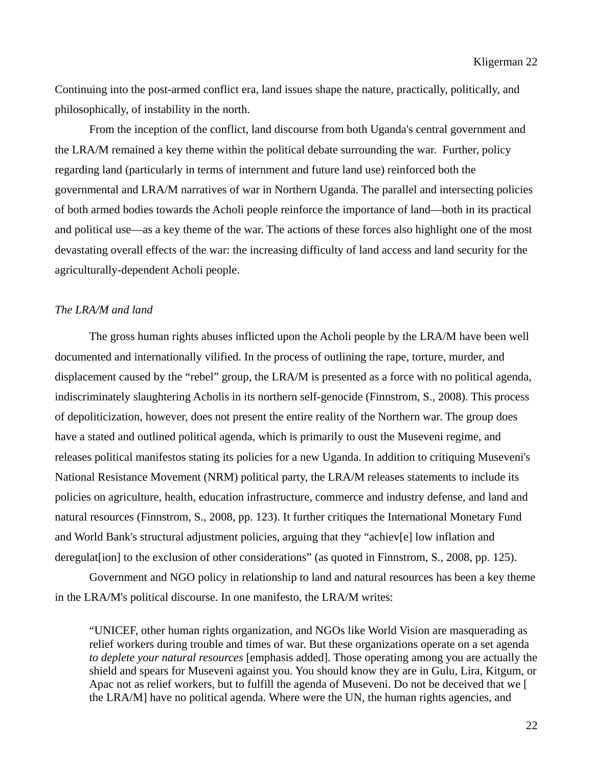Continuing into the post-armed conflict era, land issues shape the nature, practically, politically, and philosophically, of instability in the north.

 From the inception of the conflict, land discourse from both Uganda's central government and the LRA/M remained a key theme within the political debate surrounding the war. Further, policy regarding land (particularly in terms of internment and future land use) reinforced both the governmental and LRA/M narratives of war in Northern Uganda. The parallel and intersecting policies of both armed bodies towards the Acholi people reinforce the importance of land—both in its practical and political use—as a key theme of the war. The actions of these forces also highlight one of the most devastating overall effects of the war: the increasing difficulty of land access and land security for the agriculturally-dependent Acholi people.

#### *The LRA/M and land*

 The gross human rights abuses inflicted upon the Acholi people by the LRA/M have been well documented and internationally vilified. In the process of outlining the rape, torture, murder, and displacement caused by the "rebel" group, the LRA/M is presented as a force with no political agenda, indiscriminately slaughtering Acholis in its northern self-genocide (Finnstrom, S., 2008). This process of depoliticization, however, does not present the entire reality of the Northern war. The group does have a stated and outlined political agenda, which is primarily to oust the Museveni regime, and releases political manifestos stating its policies for a new Uganda. In addition to critiquing Museveni's National Resistance Movement (NRM) political party, the LRA/M releases statements to include its policies on agriculture, health, education infrastructure, commerce and industry defense, and land and natural resources (Finnstrom, S., 2008, pp. 123). It further critiques the International Monetary Fund and World Bank's structural adjustment policies, arguing that they "achiev[e] low inflation and deregulat [ion] to the exclusion of other considerations" (as quoted in Finnstrom, S., 2008, pp. 125).

 Government and NGO policy in relationship to land and natural resources has been a key theme in the LRA/M's political discourse. In one manifesto, the LRA/M writes:

 "UNICEF, other human rights organization, and NGOs like World Vision are masquerading as relief workers during trouble and times of war. But these organizations operate on a set agenda *to deplete your natural resources* [emphasis added]. Those operating among you are actually the shield and spears for Museveni against you. You should know they are in Gulu, Lira, Kitgum, or Apac not as relief workers, but to fulfill the agenda of Museveni. Do not be deceived that we [ the LRA/M] have no political agenda. Where were the UN, the human rights agencies, and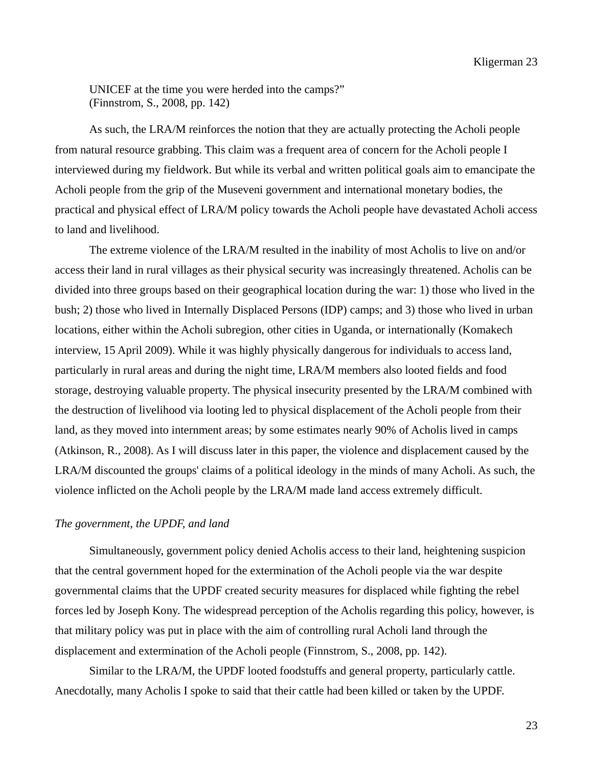UNICEF at the time you were herded into the camps?" (Finnstrom, S., 2008, pp. 142)

 As such, the LRA/M reinforces the notion that they are actually protecting the Acholi people from natural resource grabbing. This claim was a frequent area of concern for the Acholi people I interviewed during my fieldwork. But while its verbal and written political goals aim to emancipate the Acholi people from the grip of the Museveni government and international monetary bodies, the practical and physical effect of LRA/M policy towards the Acholi people have devastated Acholi access to land and livelihood.

 The extreme violence of the LRA/M resulted in the inability of most Acholis to live on and/or access their land in rural villages as their physical security was increasingly threatened. Acholis can be divided into three groups based on their geographical location during the war: 1) those who lived in the bush; 2) those who lived in Internally Displaced Persons (IDP) camps; and 3) those who lived in urban locations, either within the Acholi subregion, other cities in Uganda, or internationally (Komakech interview, 15 April 2009). While it was highly physically dangerous for individuals to access land, particularly in rural areas and during the night time, LRA/M members also looted fields and food storage, destroying valuable property. The physical insecurity presented by the LRA/M combined with the destruction of livelihood via looting led to physical displacement of the Acholi people from their land, as they moved into internment areas; by some estimates nearly 90% of Acholis lived in camps (Atkinson, R., 2008). As I will discuss later in this paper, the violence and displacement caused by the LRA/M discounted the groups' claims of a political ideology in the minds of many Acholi. As such, the violence inflicted on the Acholi people by the LRA/M made land access extremely difficult.

#### *The government, the UPDF, and land*

 Simultaneously, government policy denied Acholis access to their land, heightening suspicion that the central government hoped for the extermination of the Acholi people via the war despite governmental claims that the UPDF created security measures for displaced while fighting the rebel forces led by Joseph Kony. The widespread perception of the Acholis regarding this policy, however, is that military policy was put in place with the aim of controlling rural Acholi land through the displacement and extermination of the Acholi people (Finnstrom, S., 2008, pp. 142).

 Similar to the LRA/M, the UPDF looted foodstuffs and general property, particularly cattle. Anecdotally, many Acholis I spoke to said that their cattle had been killed or taken by the UPDF.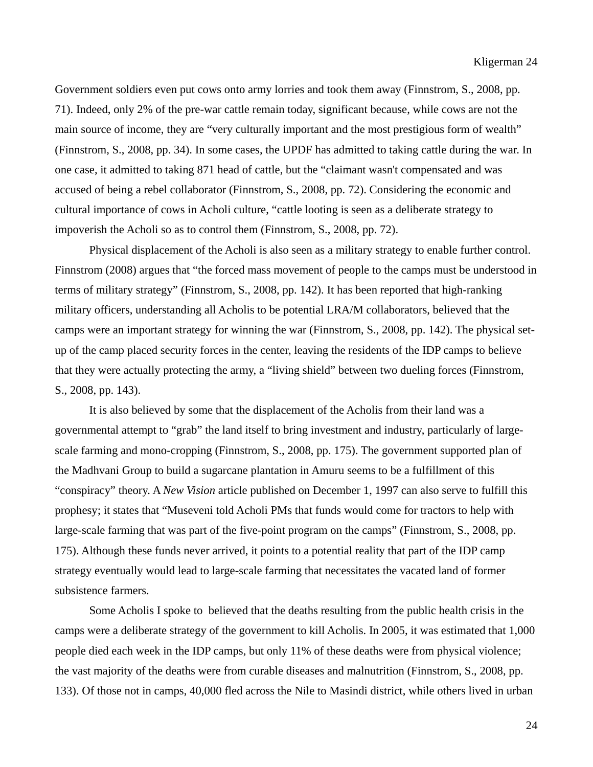Government soldiers even put cows onto army lorries and took them away (Finnstrom, S., 2008, pp. 71). Indeed, only 2% of the pre-war cattle remain today, significant because, while cows are not the main source of income, they are "very culturally important and the most prestigious form of wealth" (Finnstrom, S., 2008, pp. 34). In some cases, the UPDF has admitted to taking cattle during the war. In one case, it admitted to taking 871 head of cattle, but the "claimant wasn't compensated and was accused of being a rebel collaborator (Finnstrom, S., 2008, pp. 72). Considering the economic and cultural importance of cows in Acholi culture, "cattle looting is seen as a deliberate strategy to impoverish the Acholi so as to control them (Finnstrom, S., 2008, pp. 72).

 Physical displacement of the Acholi is also seen as a military strategy to enable further control. Finnstrom (2008) argues that "the forced mass movement of people to the camps must be understood in terms of military strategy" (Finnstrom, S., 2008, pp. 142). It has been reported that high-ranking military officers, understanding all Acholis to be potential LRA/M collaborators, believed that the camps were an important strategy for winning the war (Finnstrom, S., 2008, pp. 142). The physical setup of the camp placed security forces in the center, leaving the residents of the IDP camps to believe that they were actually protecting the army, a "living shield" between two dueling forces (Finnstrom, S., 2008, pp. 143).

 It is also believed by some that the displacement of the Acholis from their land was a governmental attempt to "grab" the land itself to bring investment and industry, particularly of largescale farming and mono-cropping (Finnstrom, S., 2008, pp. 175). The government supported plan of the Madhvani Group to build a sugarcane plantation in Amuru seems to be a fulfillment of this "conspiracy" theory. A *New Vision* article published on December 1, 1997 can also serve to fulfill this prophesy; it states that "Museveni told Acholi PMs that funds would come for tractors to help with large-scale farming that was part of the five-point program on the camps" (Finnstrom, S., 2008, pp. 175). Although these funds never arrived, it points to a potential reality that part of the IDP camp strategy eventually would lead to large-scale farming that necessitates the vacated land of former subsistence farmers.

 Some Acholis I spoke to believed that the deaths resulting from the public health crisis in the camps were a deliberate strategy of the government to kill Acholis. In 2005, it was estimated that 1,000 people died each week in the IDP camps, but only 11% of these deaths were from physical violence; the vast majority of the deaths were from curable diseases and malnutrition (Finnstrom, S., 2008, pp. 133). Of those not in camps, 40,000 fled across the Nile to Masindi district, while others lived in urban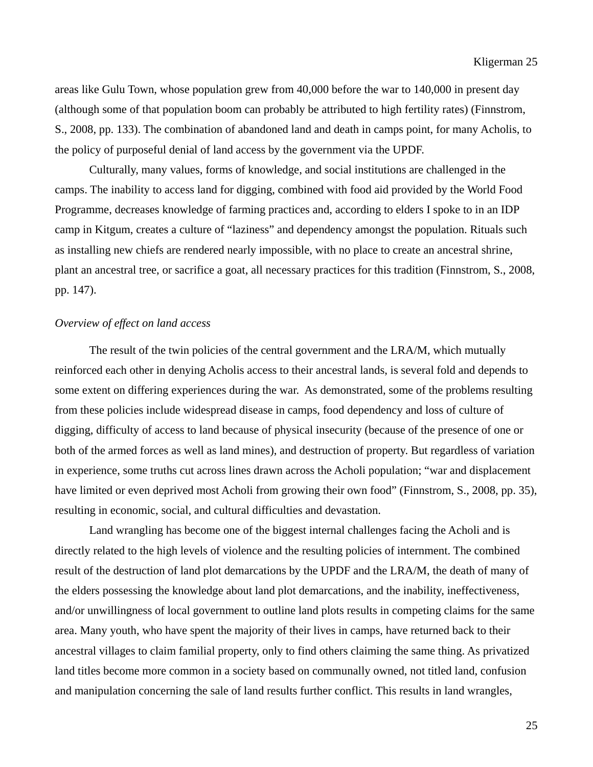areas like Gulu Town, whose population grew from 40,000 before the war to 140,000 in present day (although some of that population boom can probably be attributed to high fertility rates) (Finnstrom, S., 2008, pp. 133). The combination of abandoned land and death in camps point, for many Acholis, to the policy of purposeful denial of land access by the government via the UPDF.

 Culturally, many values, forms of knowledge, and social institutions are challenged in the camps. The inability to access land for digging, combined with food aid provided by the World Food Programme, decreases knowledge of farming practices and, according to elders I spoke to in an IDP camp in Kitgum, creates a culture of "laziness" and dependency amongst the population. Rituals such as installing new chiefs are rendered nearly impossible, with no place to create an ancestral shrine, plant an ancestral tree, or sacrifice a goat, all necessary practices for this tradition (Finnstrom, S., 2008, pp. 147).

#### *Overview of effect on land access*

The result of the twin policies of the central government and the LRA/M, which mutually reinforced each other in denying Acholis access to their ancestral lands, is several fold and depends to some extent on differing experiences during the war. As demonstrated, some of the problems resulting from these policies include widespread disease in camps, food dependency and loss of culture of digging, difficulty of access to land because of physical insecurity (because of the presence of one or both of the armed forces as well as land mines), and destruction of property. But regardless of variation in experience, some truths cut across lines drawn across the Acholi population; "war and displacement have limited or even deprived most Acholi from growing their own food" (Finnstrom, S., 2008, pp. 35), resulting in economic, social, and cultural difficulties and devastation.

 Land wrangling has become one of the biggest internal challenges facing the Acholi and is directly related to the high levels of violence and the resulting policies of internment. The combined result of the destruction of land plot demarcations by the UPDF and the LRA/M, the death of many of the elders possessing the knowledge about land plot demarcations, and the inability, ineffectiveness, and/or unwillingness of local government to outline land plots results in competing claims for the same area. Many youth, who have spent the majority of their lives in camps, have returned back to their ancestral villages to claim familial property, only to find others claiming the same thing. As privatized land titles become more common in a society based on communally owned, not titled land, confusion and manipulation concerning the sale of land results further conflict. This results in land wrangles,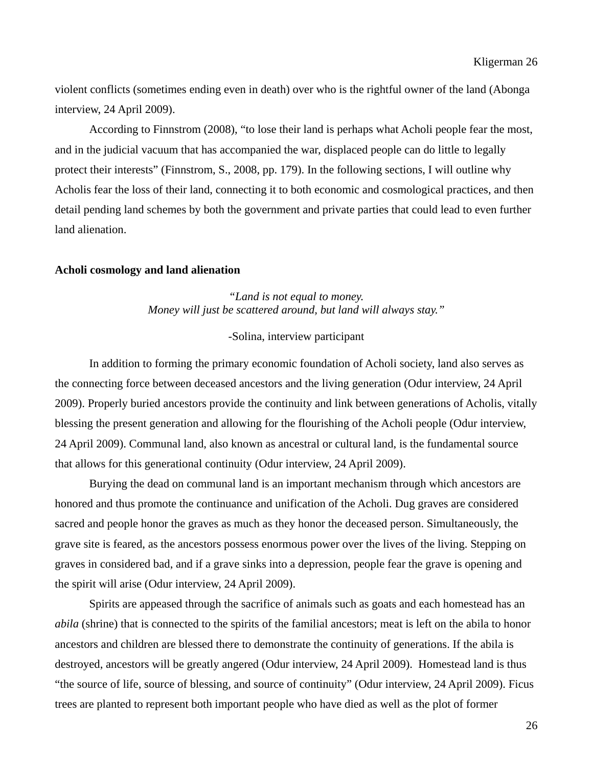violent conflicts (sometimes ending even in death) over who is the rightful owner of the land (Abonga interview, 24 April 2009).

 According to Finnstrom (2008), "to lose their land is perhaps what Acholi people fear the most, and in the judicial vacuum that has accompanied the war, displaced people can do little to legally protect their interests" (Finnstrom, S., 2008, pp. 179). In the following sections, I will outline why Acholis fear the loss of their land, connecting it to both economic and cosmological practices, and then detail pending land schemes by both the government and private parties that could lead to even further land alienation.

#### **Acholi cosmology and land alienation**

*"Land is not equal to money. Money will just be scattered around, but land will always stay."* 

#### -Solina, interview participant

In addition to forming the primary economic foundation of Acholi society, land also serves as the connecting force between deceased ancestors and the living generation (Odur interview, 24 April 2009). Properly buried ancestors provide the continuity and link between generations of Acholis, vitally blessing the present generation and allowing for the flourishing of the Acholi people (Odur interview, 24 April 2009). Communal land, also known as ancestral or cultural land, is the fundamental source that allows for this generational continuity (Odur interview, 24 April 2009).

 Burying the dead on communal land is an important mechanism through which ancestors are honored and thus promote the continuance and unification of the Acholi. Dug graves are considered sacred and people honor the graves as much as they honor the deceased person. Simultaneously, the grave site is feared, as the ancestors possess enormous power over the lives of the living. Stepping on graves in considered bad, and if a grave sinks into a depression, people fear the grave is opening and the spirit will arise (Odur interview, 24 April 2009).

 Spirits are appeased through the sacrifice of animals such as goats and each homestead has an *abila* (shrine) that is connected to the spirits of the familial ancestors; meat is left on the abila to honor ancestors and children are blessed there to demonstrate the continuity of generations. If the abila is destroyed, ancestors will be greatly angered (Odur interview, 24 April 2009). Homestead land is thus "the source of life, source of blessing, and source of continuity" (Odur interview, 24 April 2009). Ficus trees are planted to represent both important people who have died as well as the plot of former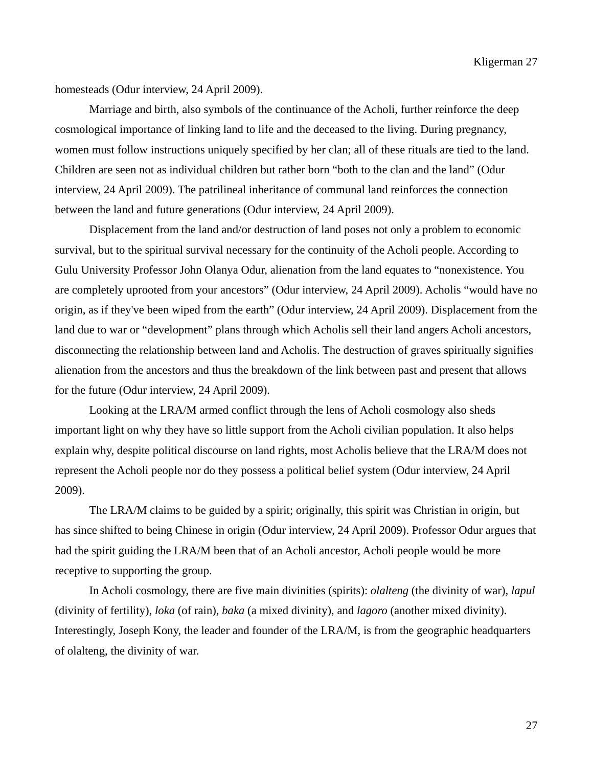Kligerman 27

homesteads (Odur interview, 24 April 2009).

 Marriage and birth, also symbols of the continuance of the Acholi, further reinforce the deep cosmological importance of linking land to life and the deceased to the living. During pregnancy, women must follow instructions uniquely specified by her clan; all of these rituals are tied to the land. Children are seen not as individual children but rather born "both to the clan and the land" (Odur interview, 24 April 2009). The patrilineal inheritance of communal land reinforces the connection between the land and future generations (Odur interview, 24 April 2009).

 Displacement from the land and/or destruction of land poses not only a problem to economic survival, but to the spiritual survival necessary for the continuity of the Acholi people. According to Gulu University Professor John Olanya Odur, alienation from the land equates to "nonexistence. You are completely uprooted from your ancestors" (Odur interview, 24 April 2009). Acholis "would have no origin, as if they've been wiped from the earth" (Odur interview, 24 April 2009). Displacement from the land due to war or "development" plans through which Acholis sell their land angers Acholi ancestors, disconnecting the relationship between land and Acholis. The destruction of graves spiritually signifies alienation from the ancestors and thus the breakdown of the link between past and present that allows for the future (Odur interview, 24 April 2009).

Looking at the LRA/M armed conflict through the lens of Acholi cosmology also sheds important light on why they have so little support from the Acholi civilian population. It also helps explain why, despite political discourse on land rights, most Acholis believe that the LRA/M does not represent the Acholi people nor do they possess a political belief system (Odur interview, 24 April 2009).

 The LRA/M claims to be guided by a spirit; originally, this spirit was Christian in origin, but has since shifted to being Chinese in origin (Odur interview, 24 April 2009). Professor Odur argues that had the spirit guiding the LRA/M been that of an Acholi ancestor, Acholi people would be more receptive to supporting the group.

 In Acholi cosmology, there are five main divinities (spirits): *olalteng* (the divinity of war), *lapul*  (divinity of fertility), *loka* (of rain), *baka* (a mixed divinity), and *lagoro* (another mixed divinity). Interestingly, Joseph Kony, the leader and founder of the LRA/M, is from the geographic headquarters of olalteng, the divinity of war.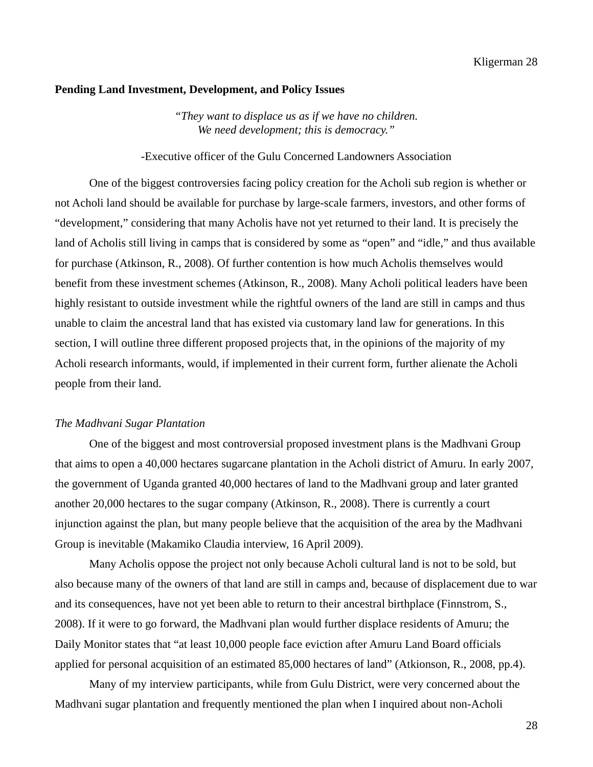#### **Pending Land Investment, Development, and Policy Issues**

*"They want to displace us as if we have no children. We need development; this is democracy."* 

### -Executive officer of the Gulu Concerned Landowners Association

One of the biggest controversies facing policy creation for the Acholi sub region is whether or not Acholi land should be available for purchase by large-scale farmers, investors, and other forms of "development," considering that many Acholis have not yet returned to their land. It is precisely the land of Acholis still living in camps that is considered by some as "open" and "idle," and thus available for purchase (Atkinson, R., 2008). Of further contention is how much Acholis themselves would benefit from these investment schemes (Atkinson, R., 2008). Many Acholi political leaders have been highly resistant to outside investment while the rightful owners of the land are still in camps and thus unable to claim the ancestral land that has existed via customary land law for generations. In this section, I will outline three different proposed projects that, in the opinions of the majority of my Acholi research informants, would, if implemented in their current form, further alienate the Acholi people from their land.

#### *The Madhvani Sugar Plantation*

 One of the biggest and most controversial proposed investment plans is the Madhvani Group that aims to open a 40,000 hectares sugarcane plantation in the Acholi district of Amuru. In early 2007, the government of Uganda granted 40,000 hectares of land to the Madhvani group and later granted another 20,000 hectares to the sugar company (Atkinson, R., 2008). There is currently a court injunction against the plan, but many people believe that the acquisition of the area by the Madhvani Group is inevitable (Makamiko Claudia interview, 16 April 2009).

 Many Acholis oppose the project not only because Acholi cultural land is not to be sold, but also because many of the owners of that land are still in camps and, because of displacement due to war and its consequences, have not yet been able to return to their ancestral birthplace (Finnstrom, S., 2008). If it were to go forward, the Madhvani plan would further displace residents of Amuru; the Daily Monitor states that "at least 10,000 people face eviction after Amuru Land Board officials applied for personal acquisition of an estimated 85,000 hectares of land" (Atkionson, R., 2008, pp.4).

 Many of my interview participants, while from Gulu District, were very concerned about the Madhvani sugar plantation and frequently mentioned the plan when I inquired about non-Acholi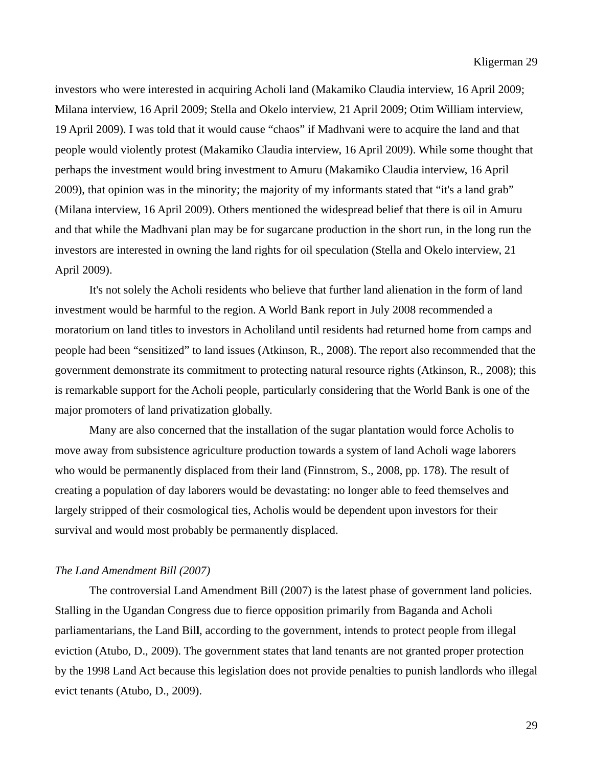investors who were interested in acquiring Acholi land (Makamiko Claudia interview, 16 April 2009; Milana interview, 16 April 2009; Stella and Okelo interview, 21 April 2009; Otim William interview, 19 April 2009). I was told that it would cause "chaos" if Madhvani were to acquire the land and that people would violently protest (Makamiko Claudia interview, 16 April 2009). While some thought that perhaps the investment would bring investment to Amuru (Makamiko Claudia interview, 16 April 2009), that opinion was in the minority; the majority of my informants stated that "it's a land grab" (Milana interview, 16 April 2009). Others mentioned the widespread belief that there is oil in Amuru and that while the Madhvani plan may be for sugarcane production in the short run, in the long run the investors are interested in owning the land rights for oil speculation (Stella and Okelo interview, 21 April 2009).

 It's not solely the Acholi residents who believe that further land alienation in the form of land investment would be harmful to the region. A World Bank report in July 2008 recommended a moratorium on land titles to investors in Acholiland until residents had returned home from camps and people had been "sensitized" to land issues (Atkinson, R., 2008). The report also recommended that the government demonstrate its commitment to protecting natural resource rights (Atkinson, R., 2008); this is remarkable support for the Acholi people, particularly considering that the World Bank is one of the major promoters of land privatization globally.

 Many are also concerned that the installation of the sugar plantation would force Acholis to move away from subsistence agriculture production towards a system of land Acholi wage laborers who would be permanently displaced from their land (Finnstrom, S., 2008, pp. 178). The result of creating a population of day laborers would be devastating: no longer able to feed themselves and largely stripped of their cosmological ties, Acholis would be dependent upon investors for their survival and would most probably be permanently displaced.

#### *The Land Amendment Bill (2007)*

 The controversial Land Amendment Bill (2007) is the latest phase of government land policies. Stalling in the Ugandan Congress due to fierce opposition primarily from Baganda and Acholi parliamentarians, the Land Bil**l**, according to the government, intends to protect people from illegal eviction (Atubo, D., 2009). The government states that land tenants are not granted proper protection by the 1998 Land Act because this legislation does not provide penalties to punish landlords who illegal evict tenants (Atubo, D., 2009).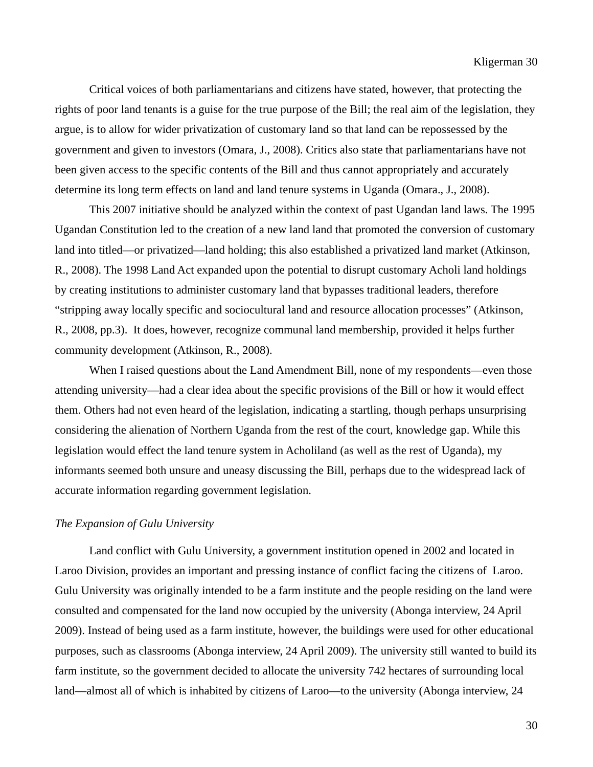Critical voices of both parliamentarians and citizens have stated, however, that protecting the rights of poor land tenants is a guise for the true purpose of the Bill; the real aim of the legislation, they argue, is to allow for wider privatization of customary land so that land can be repossessed by the government and given to investors (Omara, J., 2008). Critics also state that parliamentarians have not been given access to the specific contents of the Bill and thus cannot appropriately and accurately determine its long term effects on land and land tenure systems in Uganda (Omara., J., 2008).

 This 2007 initiative should be analyzed within the context of past Ugandan land laws. The 1995 Ugandan Constitution led to the creation of a new land land that promoted the conversion of customary land into titled—or privatized—land holding; this also established a privatized land market (Atkinson, R., 2008). The 1998 Land Act expanded upon the potential to disrupt customary Acholi land holdings by creating institutions to administer customary land that bypasses traditional leaders, therefore "stripping away locally specific and sociocultural land and resource allocation processes" (Atkinson, R., 2008, pp.3). It does, however, recognize communal land membership, provided it helps further community development (Atkinson, R., 2008).

When I raised questions about the Land Amendment Bill, none of my respondents—even those attending university—had a clear idea about the specific provisions of the Bill or how it would effect them. Others had not even heard of the legislation, indicating a startling, though perhaps unsurprising considering the alienation of Northern Uganda from the rest of the court, knowledge gap. While this legislation would effect the land tenure system in Acholiland (as well as the rest of Uganda), my informants seemed both unsure and uneasy discussing the Bill, perhaps due to the widespread lack of accurate information regarding government legislation.

#### *The Expansion of Gulu University*

 Land conflict with Gulu University, a government institution opened in 2002 and located in Laroo Division, provides an important and pressing instance of conflict facing the citizens of Laroo. Gulu University was originally intended to be a farm institute and the people residing on the land were consulted and compensated for the land now occupied by the university (Abonga interview, 24 April 2009). Instead of being used as a farm institute, however, the buildings were used for other educational purposes, such as classrooms (Abonga interview, 24 April 2009). The university still wanted to build its farm institute, so the government decided to allocate the university 742 hectares of surrounding local land—almost all of which is inhabited by citizens of Laroo—to the university (Abonga interview, 24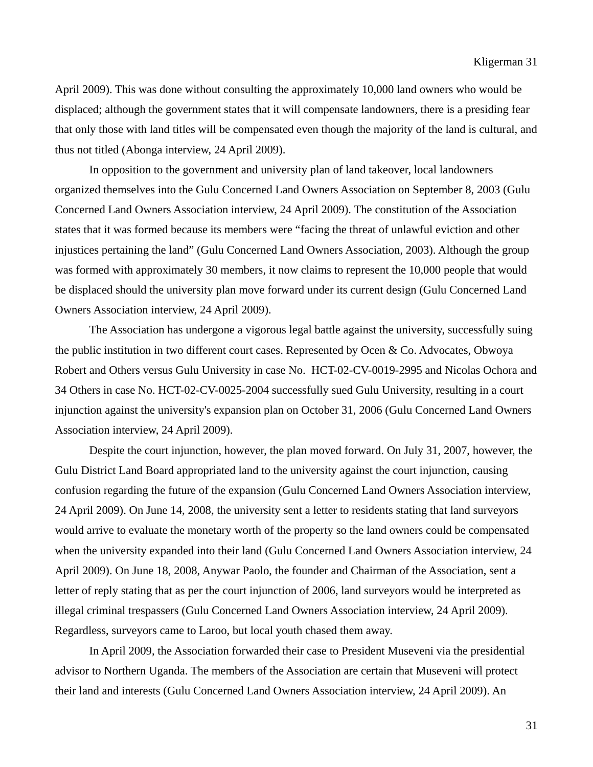April 2009). This was done without consulting the approximately 10,000 land owners who would be displaced; although the government states that it will compensate landowners, there is a presiding fear that only those with land titles will be compensated even though the majority of the land is cultural, and thus not titled (Abonga interview, 24 April 2009).

 In opposition to the government and university plan of land takeover, local landowners organized themselves into the Gulu Concerned Land Owners Association on September 8, 2003 (Gulu Concerned Land Owners Association interview, 24 April 2009). The constitution of the Association states that it was formed because its members were "facing the threat of unlawful eviction and other injustices pertaining the land" (Gulu Concerned Land Owners Association, 2003). Although the group was formed with approximately 30 members, it now claims to represent the 10,000 people that would be displaced should the university plan move forward under its current design (Gulu Concerned Land Owners Association interview, 24 April 2009).

 The Association has undergone a vigorous legal battle against the university, successfully suing the public institution in two different court cases. Represented by Ocen & Co. Advocates, Obwoya Robert and Others versus Gulu University in case No. HCT-02-CV-0019-2995 and Nicolas Ochora and 34 Others in case No. HCT-02-CV-0025-2004 successfully sued Gulu University, resulting in a court injunction against the university's expansion plan on October 31, 2006 (Gulu Concerned Land Owners Association interview, 24 April 2009).

 Despite the court injunction, however, the plan moved forward. On July 31, 2007, however, the Gulu District Land Board appropriated land to the university against the court injunction, causing confusion regarding the future of the expansion (Gulu Concerned Land Owners Association interview, 24 April 2009). On June 14, 2008, the university sent a letter to residents stating that land surveyors would arrive to evaluate the monetary worth of the property so the land owners could be compensated when the university expanded into their land (Gulu Concerned Land Owners Association interview, 24 April 2009). On June 18, 2008, Anywar Paolo, the founder and Chairman of the Association, sent a letter of reply stating that as per the court injunction of 2006, land surveyors would be interpreted as illegal criminal trespassers (Gulu Concerned Land Owners Association interview, 24 April 2009). Regardless, surveyors came to Laroo, but local youth chased them away.

 In April 2009, the Association forwarded their case to President Museveni via the presidential advisor to Northern Uganda. The members of the Association are certain that Museveni will protect their land and interests (Gulu Concerned Land Owners Association interview, 24 April 2009). An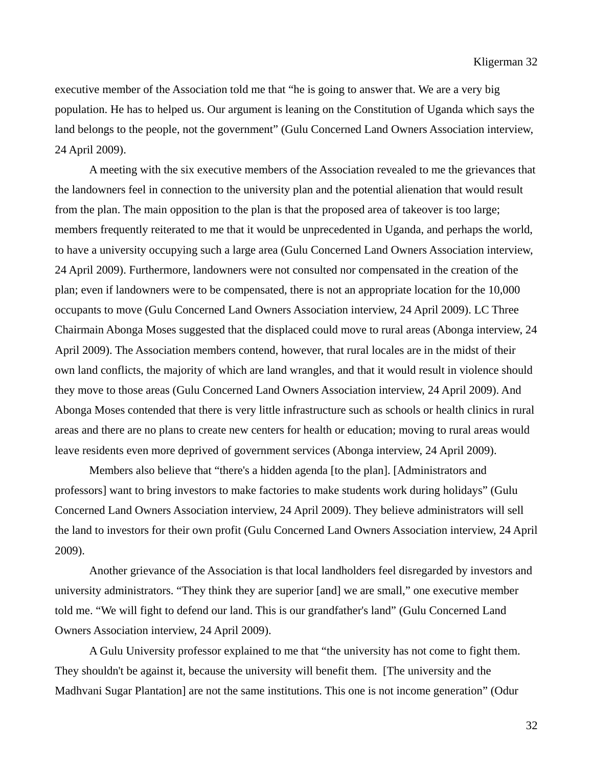executive member of the Association told me that "he is going to answer that. We are a very big population. He has to helped us. Our argument is leaning on the Constitution of Uganda which says the land belongs to the people, not the government" (Gulu Concerned Land Owners Association interview, 24 April 2009).

 A meeting with the six executive members of the Association revealed to me the grievances that the landowners feel in connection to the university plan and the potential alienation that would result from the plan. The main opposition to the plan is that the proposed area of takeover is too large; members frequently reiterated to me that it would be unprecedented in Uganda, and perhaps the world, to have a university occupying such a large area (Gulu Concerned Land Owners Association interview, 24 April 2009). Furthermore, landowners were not consulted nor compensated in the creation of the plan; even if landowners were to be compensated, there is not an appropriate location for the 10,000 occupants to move (Gulu Concerned Land Owners Association interview, 24 April 2009). LC Three Chairmain Abonga Moses suggested that the displaced could move to rural areas (Abonga interview, 24 April 2009). The Association members contend, however, that rural locales are in the midst of their own land conflicts, the majority of which are land wrangles, and that it would result in violence should they move to those areas (Gulu Concerned Land Owners Association interview, 24 April 2009). And Abonga Moses contended that there is very little infrastructure such as schools or health clinics in rural areas and there are no plans to create new centers for health or education; moving to rural areas would leave residents even more deprived of government services (Abonga interview, 24 April 2009).

 Members also believe that "there's a hidden agenda [to the plan]. [Administrators and professors] want to bring investors to make factories to make students work during holidays" (Gulu Concerned Land Owners Association interview, 24 April 2009). They believe administrators will sell the land to investors for their own profit (Gulu Concerned Land Owners Association interview, 24 April 2009).

 Another grievance of the Association is that local landholders feel disregarded by investors and university administrators. "They think they are superior [and] we are small," one executive member told me. "We will fight to defend our land. This is our grandfather's land" (Gulu Concerned Land Owners Association interview, 24 April 2009).

 A Gulu University professor explained to me that "the university has not come to fight them. They shouldn't be against it, because the university will benefit them. [The university and the Madhvani Sugar Plantation] are not the same institutions. This one is not income generation" (Odur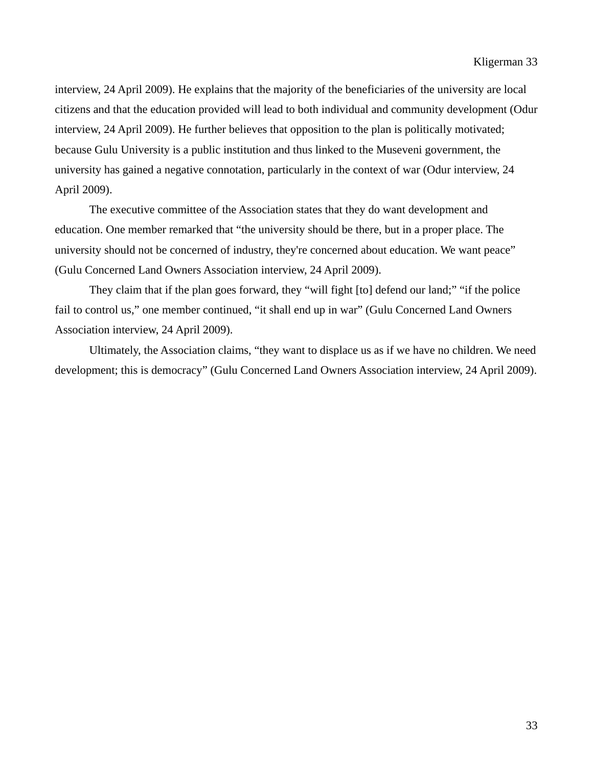interview, 24 April 2009). He explains that the majority of the beneficiaries of the university are local citizens and that the education provided will lead to both individual and community development (Odur interview, 24 April 2009). He further believes that opposition to the plan is politically motivated; because Gulu University is a public institution and thus linked to the Museveni government, the university has gained a negative connotation, particularly in the context of war (Odur interview, 24 April 2009).

 The executive committee of the Association states that they do want development and education. One member remarked that "the university should be there, but in a proper place. The university should not be concerned of industry, they're concerned about education. We want peace" (Gulu Concerned Land Owners Association interview, 24 April 2009).

 They claim that if the plan goes forward, they "will fight [to] defend our land;" "if the police fail to control us," one member continued, "it shall end up in war" (Gulu Concerned Land Owners Association interview, 24 April 2009).

 Ultimately, the Association claims, "they want to displace us as if we have no children. We need development; this is democracy" (Gulu Concerned Land Owners Association interview, 24 April 2009).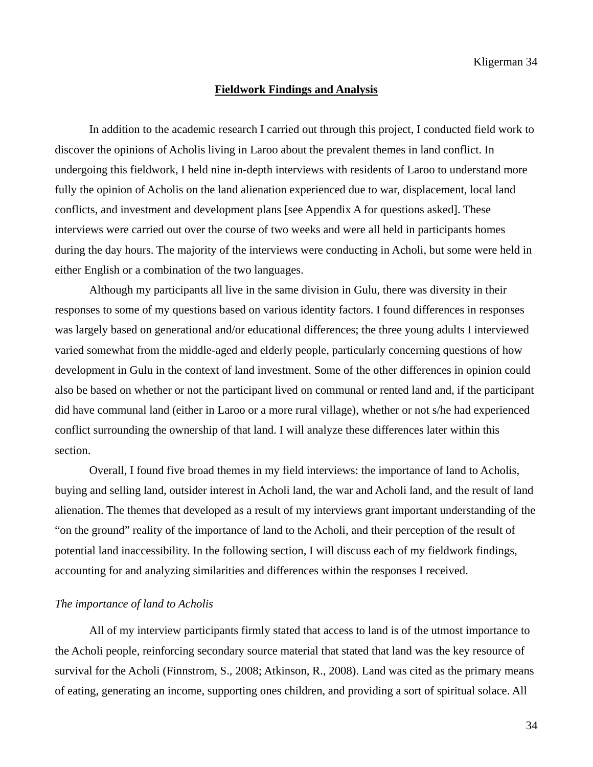#### **Fieldwork Findings and Analysis**

In addition to the academic research I carried out through this project, I conducted field work to discover the opinions of Acholis living in Laroo about the prevalent themes in land conflict. In undergoing this fieldwork, I held nine in-depth interviews with residents of Laroo to understand more fully the opinion of Acholis on the land alienation experienced due to war, displacement, local land conflicts, and investment and development plans [see Appendix A for questions asked]. These interviews were carried out over the course of two weeks and were all held in participants homes during the day hours. The majority of the interviews were conducting in Acholi, but some were held in either English or a combination of the two languages.

 Although my participants all live in the same division in Gulu, there was diversity in their responses to some of my questions based on various identity factors. I found differences in responses was largely based on generational and/or educational differences; the three young adults I interviewed varied somewhat from the middle-aged and elderly people, particularly concerning questions of how development in Gulu in the context of land investment. Some of the other differences in opinion could also be based on whether or not the participant lived on communal or rented land and, if the participant did have communal land (either in Laroo or a more rural village), whether or not s/he had experienced conflict surrounding the ownership of that land. I will analyze these differences later within this section.

 Overall, I found five broad themes in my field interviews: the importance of land to Acholis, buying and selling land, outsider interest in Acholi land, the war and Acholi land, and the result of land alienation. The themes that developed as a result of my interviews grant important understanding of the "on the ground" reality of the importance of land to the Acholi, and their perception of the result of potential land inaccessibility. In the following section, I will discuss each of my fieldwork findings, accounting for and analyzing similarities and differences within the responses I received.

### *The importance of land to Acholis*

All of my interview participants firmly stated that access to land is of the utmost importance to the Acholi people, reinforcing secondary source material that stated that land was the key resource of survival for the Acholi (Finnstrom, S., 2008; Atkinson, R., 2008). Land was cited as the primary means of eating, generating an income, supporting ones children, and providing a sort of spiritual solace. All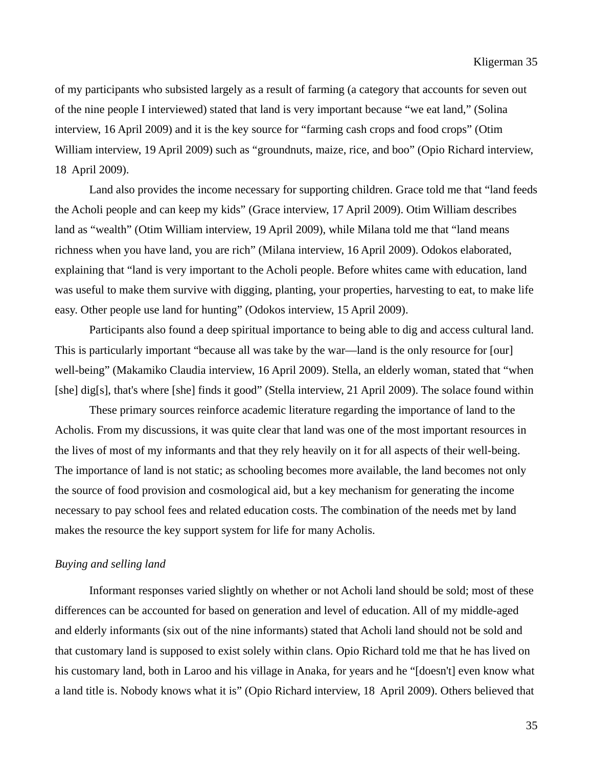of my participants who subsisted largely as a result of farming (a category that accounts for seven out of the nine people I interviewed) stated that land is very important because "we eat land," (Solina interview, 16 April 2009) and it is the key source for "farming cash crops and food crops" (Otim William interview, 19 April 2009) such as "groundnuts, maize, rice, and boo" (Opio Richard interview, 18 April 2009).

 Land also provides the income necessary for supporting children. Grace told me that "land feeds the Acholi people and can keep my kids" (Grace interview, 17 April 2009). Otim William describes land as "wealth" (Otim William interview, 19 April 2009), while Milana told me that "land means richness when you have land, you are rich" (Milana interview, 16 April 2009). Odokos elaborated, explaining that "land is very important to the Acholi people. Before whites came with education, land was useful to make them survive with digging, planting, your properties, harvesting to eat, to make life easy. Other people use land for hunting" (Odokos interview, 15 April 2009).

 Participants also found a deep spiritual importance to being able to dig and access cultural land. This is particularly important "because all was take by the war—land is the only resource for [our] well-being" (Makamiko Claudia interview, 16 April 2009). Stella, an elderly woman, stated that "when [she] dig[s], that's where [she] finds it good" (Stella interview, 21 April 2009). The solace found within

These primary sources reinforce academic literature regarding the importance of land to the Acholis. From my discussions, it was quite clear that land was one of the most important resources in the lives of most of my informants and that they rely heavily on it for all aspects of their well-being. The importance of land is not static; as schooling becomes more available, the land becomes not only the source of food provision and cosmological aid, but a key mechanism for generating the income necessary to pay school fees and related education costs. The combination of the needs met by land makes the resource the key support system for life for many Acholis.

### *Buying and selling land*

Informant responses varied slightly on whether or not Acholi land should be sold; most of these differences can be accounted for based on generation and level of education. All of my middle-aged and elderly informants (six out of the nine informants) stated that Acholi land should not be sold and that customary land is supposed to exist solely within clans. Opio Richard told me that he has lived on his customary land, both in Laroo and his village in Anaka, for years and he "[doesn't] even know what a land title is. Nobody knows what it is" (Opio Richard interview, 18 April 2009). Others believed that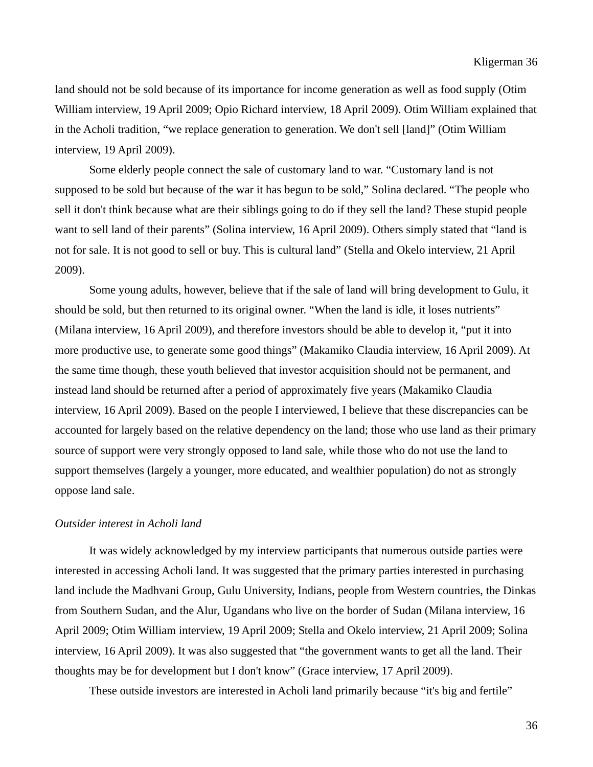land should not be sold because of its importance for income generation as well as food supply (Otim William interview, 19 April 2009; Opio Richard interview, 18 April 2009). Otim William explained that in the Acholi tradition, "we replace generation to generation. We don't sell [land]" (Otim William interview, 19 April 2009).

Some elderly people connect the sale of customary land to war. "Customary land is not supposed to be sold but because of the war it has begun to be sold," Solina declared. "The people who sell it don't think because what are their siblings going to do if they sell the land? These stupid people want to sell land of their parents" (Solina interview, 16 April 2009). Others simply stated that "land is not for sale. It is not good to sell or buy. This is cultural land" (Stella and Okelo interview, 21 April 2009).

 Some young adults, however, believe that if the sale of land will bring development to Gulu, it should be sold, but then returned to its original owner. "When the land is idle, it loses nutrients" (Milana interview, 16 April 2009), and therefore investors should be able to develop it, "put it into more productive use, to generate some good things" (Makamiko Claudia interview, 16 April 2009). At the same time though, these youth believed that investor acquisition should not be permanent, and instead land should be returned after a period of approximately five years (Makamiko Claudia interview, 16 April 2009). Based on the people I interviewed, I believe that these discrepancies can be accounted for largely based on the relative dependency on the land; those who use land as their primary source of support were very strongly opposed to land sale, while those who do not use the land to support themselves (largely a younger, more educated, and wealthier population) do not as strongly oppose land sale.

#### *Outsider interest in Acholi land*

It was widely acknowledged by my interview participants that numerous outside parties were interested in accessing Acholi land. It was suggested that the primary parties interested in purchasing land include the Madhvani Group, Gulu University, Indians, people from Western countries, the Dinkas from Southern Sudan, and the Alur, Ugandans who live on the border of Sudan (Milana interview, 16 April 2009; Otim William interview, 19 April 2009; Stella and Okelo interview, 21 April 2009; Solina interview, 16 April 2009). It was also suggested that "the government wants to get all the land. Their thoughts may be for development but I don't know" (Grace interview, 17 April 2009).

These outside investors are interested in Acholi land primarily because "it's big and fertile"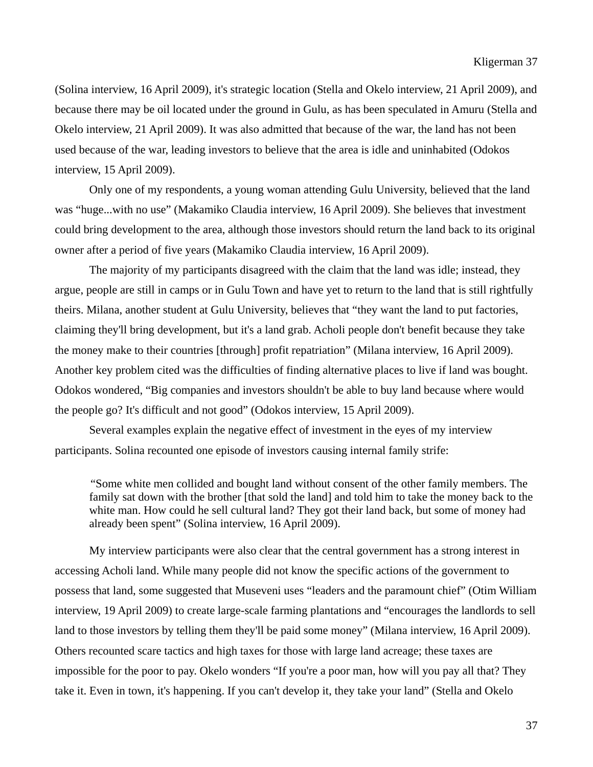(Solina interview, 16 April 2009), it's strategic location (Stella and Okelo interview, 21 April 2009), and because there may be oil located under the ground in Gulu, as has been speculated in Amuru (Stella and Okelo interview, 21 April 2009). It was also admitted that because of the war, the land has not been used because of the war, leading investors to believe that the area is idle and uninhabited (Odokos interview, 15 April 2009).

 Only one of my respondents, a young woman attending Gulu University, believed that the land was "huge...with no use" (Makamiko Claudia interview, 16 April 2009). She believes that investment could bring development to the area, although those investors should return the land back to its original owner after a period of five years (Makamiko Claudia interview, 16 April 2009).

 The majority of my participants disagreed with the claim that the land was idle; instead, they argue, people are still in camps or in Gulu Town and have yet to return to the land that is still rightfully theirs. Milana, another student at Gulu University, believes that "they want the land to put factories, claiming they'll bring development, but it's a land grab. Acholi people don't benefit because they take the money make to their countries [through] profit repatriation" (Milana interview, 16 April 2009). Another key problem cited was the difficulties of finding alternative places to live if land was bought. Odokos wondered, "Big companies and investors shouldn't be able to buy land because where would the people go? It's difficult and not good" (Odokos interview, 15 April 2009).

 Several examples explain the negative effect of investment in the eyes of my interview participants. Solina recounted one episode of investors causing internal family strife:

"Some white men collided and bought land without consent of the other family members. The family sat down with the brother [that sold the land] and told him to take the money back to the white man. How could he sell cultural land? They got their land back, but some of money had already been spent" (Solina interview, 16 April 2009).

 My interview participants were also clear that the central government has a strong interest in accessing Acholi land. While many people did not know the specific actions of the government to possess that land, some suggested that Museveni uses "leaders and the paramount chief" (Otim William interview, 19 April 2009) to create large-scale farming plantations and "encourages the landlords to sell land to those investors by telling them they'll be paid some money" (Milana interview, 16 April 2009). Others recounted scare tactics and high taxes for those with large land acreage; these taxes are impossible for the poor to pay. Okelo wonders "If you're a poor man, how will you pay all that? They take it. Even in town, it's happening. If you can't develop it, they take your land" (Stella and Okelo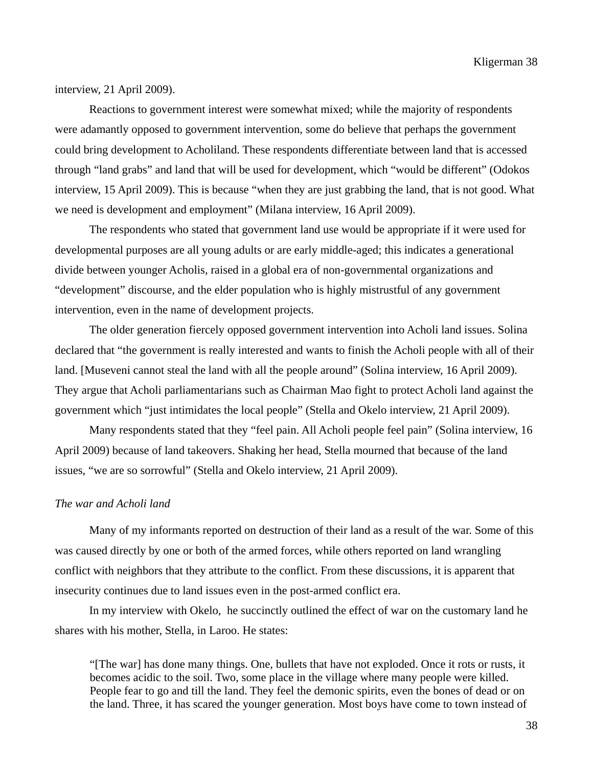interview, 21 April 2009).

 Reactions to government interest were somewhat mixed; while the majority of respondents were adamantly opposed to government intervention, some do believe that perhaps the government could bring development to Acholiland. These respondents differentiate between land that is accessed through "land grabs" and land that will be used for development, which "would be different" (Odokos interview, 15 April 2009). This is because "when they are just grabbing the land, that is not good. What we need is development and employment" (Milana interview, 16 April 2009).

 The respondents who stated that government land use would be appropriate if it were used for developmental purposes are all young adults or are early middle-aged; this indicates a generational divide between younger Acholis, raised in a global era of non-governmental organizations and "development" discourse, and the elder population who is highly mistrustful of any government intervention, even in the name of development projects.

 The older generation fiercely opposed government intervention into Acholi land issues. Solina declared that "the government is really interested and wants to finish the Acholi people with all of their land. [Museveni cannot steal the land with all the people around" (Solina interview, 16 April 2009). They argue that Acholi parliamentarians such as Chairman Mao fight to protect Acholi land against the government which "just intimidates the local people" (Stella and Okelo interview, 21 April 2009).

 Many respondents stated that they "feel pain. All Acholi people feel pain" (Solina interview, 16 April 2009) because of land takeovers. Shaking her head, Stella mourned that because of the land issues, "we are so sorrowful" (Stella and Okelo interview, 21 April 2009).

#### *The war and Acholi land*

Many of my informants reported on destruction of their land as a result of the war. Some of this was caused directly by one or both of the armed forces, while others reported on land wrangling conflict with neighbors that they attribute to the conflict. From these discussions, it is apparent that insecurity continues due to land issues even in the post-armed conflict era.

 In my interview with Okelo, he succinctly outlined the effect of war on the customary land he shares with his mother, Stella, in Laroo. He states:

"[The war] has done many things. One, bullets that have not exploded. Once it rots or rusts, it becomes acidic to the soil. Two, some place in the village where many people were killed. People fear to go and till the land. They feel the demonic spirits, even the bones of dead or on the land. Three, it has scared the younger generation. Most boys have come to town instead of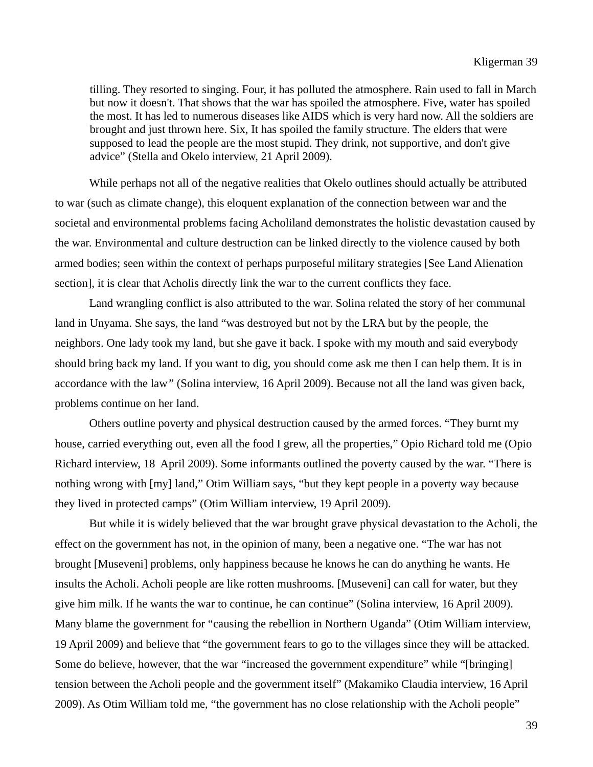tilling. They resorted to singing. Four, it has polluted the atmosphere. Rain used to fall in March but now it doesn't. That shows that the war has spoiled the atmosphere. Five, water has spoiled the most. It has led to numerous diseases like AIDS which is very hard now. All the soldiers are brought and just thrown here. Six, It has spoiled the family structure. The elders that were supposed to lead the people are the most stupid. They drink, not supportive, and don't give advice" (Stella and Okelo interview, 21 April 2009).

 While perhaps not all of the negative realities that Okelo outlines should actually be attributed to war (such as climate change), this eloquent explanation of the connection between war and the societal and environmental problems facing Acholiland demonstrates the holistic devastation caused by the war. Environmental and culture destruction can be linked directly to the violence caused by both armed bodies; seen within the context of perhaps purposeful military strategies [See Land Alienation section], it is clear that Acholis directly link the war to the current conflicts they face.

 Land wrangling conflict is also attributed to the war. Solina related the story of her communal land in Unyama. She says, the land "was destroyed but not by the LRA but by the people, the neighbors. One lady took my land, but she gave it back. I spoke with my mouth and said everybody should bring back my land. If you want to dig, you should come ask me then I can help them. It is in accordance with the law*"* (Solina interview, 16 April 2009). Because not all the land was given back, problems continue on her land.

 Others outline poverty and physical destruction caused by the armed forces. "They burnt my house, carried everything out, even all the food I grew, all the properties," Opio Richard told me (Opio Richard interview, 18 April 2009). Some informants outlined the poverty caused by the war. "There is nothing wrong with [my] land," Otim William says, "but they kept people in a poverty way because they lived in protected camps" (Otim William interview, 19 April 2009).

 But while it is widely believed that the war brought grave physical devastation to the Acholi, the effect on the government has not, in the opinion of many, been a negative one. "The war has not brought [Museveni] problems, only happiness because he knows he can do anything he wants. He insults the Acholi. Acholi people are like rotten mushrooms. [Museveni] can call for water, but they give him milk. If he wants the war to continue, he can continue" (Solina interview, 16 April 2009). Many blame the government for "causing the rebellion in Northern Uganda" (Otim William interview, 19 April 2009) and believe that "the government fears to go to the villages since they will be attacked. Some do believe, however, that the war "increased the government expenditure" while "[bringing] tension between the Acholi people and the government itself" (Makamiko Claudia interview, 16 April 2009). As Otim William told me, "the government has no close relationship with the Acholi people"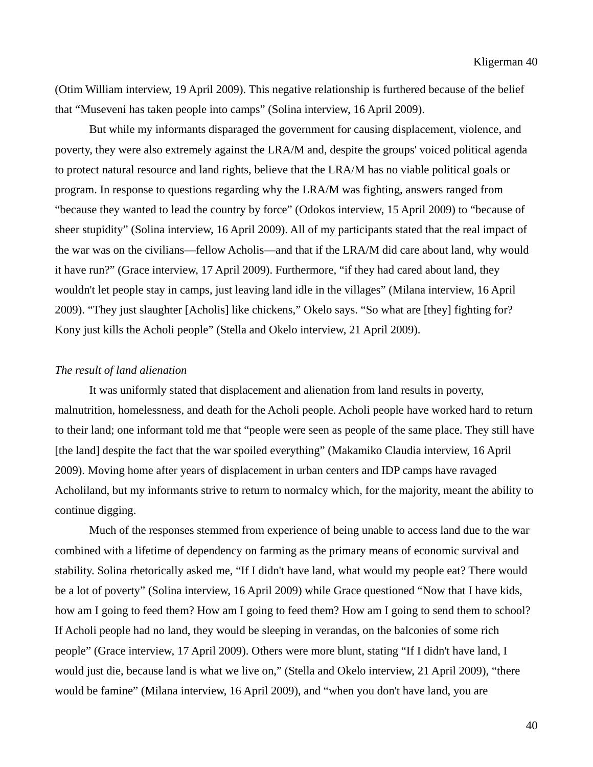(Otim William interview, 19 April 2009). This negative relationship is furthered because of the belief that "Museveni has taken people into camps" (Solina interview, 16 April 2009).

 But while my informants disparaged the government for causing displacement, violence, and poverty, they were also extremely against the LRA/M and, despite the groups' voiced political agenda to protect natural resource and land rights, believe that the LRA/M has no viable political goals or program. In response to questions regarding why the LRA/M was fighting, answers ranged from "because they wanted to lead the country by force" (Odokos interview, 15 April 2009) to "because of sheer stupidity" (Solina interview, 16 April 2009). All of my participants stated that the real impact of the war was on the civilians—fellow Acholis—and that if the LRA/M did care about land, why would it have run?" (Grace interview, 17 April 2009). Furthermore, "if they had cared about land, they wouldn't let people stay in camps, just leaving land idle in the villages" (Milana interview, 16 April 2009). "They just slaughter [Acholis] like chickens," Okelo says. "So what are [they] fighting for? Kony just kills the Acholi people" (Stella and Okelo interview, 21 April 2009).

### *The result of land alienation*

It was uniformly stated that displacement and alienation from land results in poverty, malnutrition, homelessness, and death for the Acholi people. Acholi people have worked hard to return to their land; one informant told me that "people were seen as people of the same place. They still have [the land] despite the fact that the war spoiled everything" (Makamiko Claudia interview, 16 April 2009). Moving home after years of displacement in urban centers and IDP camps have ravaged Acholiland, but my informants strive to return to normalcy which, for the majority, meant the ability to continue digging.

 Much of the responses stemmed from experience of being unable to access land due to the war combined with a lifetime of dependency on farming as the primary means of economic survival and stability. Solina rhetorically asked me, "If I didn't have land, what would my people eat? There would be a lot of poverty" (Solina interview, 16 April 2009) while Grace questioned "Now that I have kids, how am I going to feed them? How am I going to feed them? How am I going to send them to school? If Acholi people had no land, they would be sleeping in verandas, on the balconies of some rich people" (Grace interview, 17 April 2009). Others were more blunt, stating "If I didn't have land, I would just die, because land is what we live on," (Stella and Okelo interview, 21 April 2009), "there would be famine" (Milana interview, 16 April 2009), and "when you don't have land, you are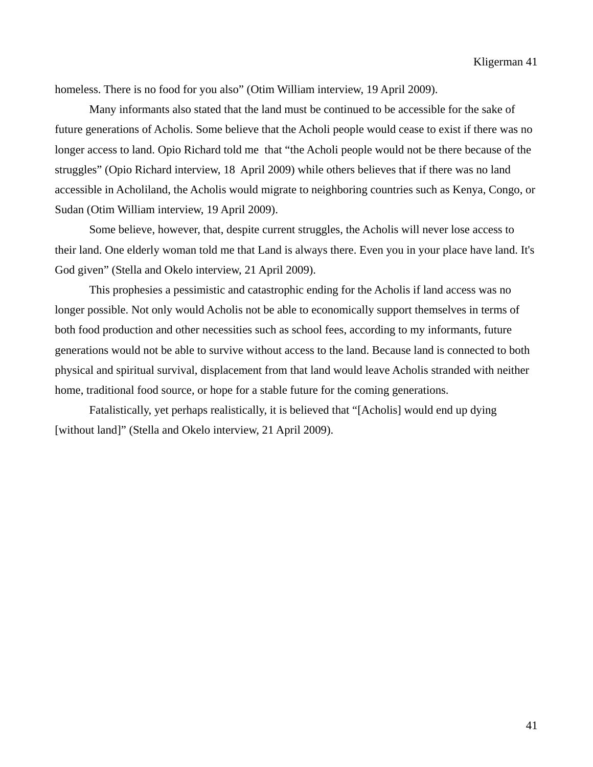homeless. There is no food for you also" (Otim William interview, 19 April 2009).

 Many informants also stated that the land must be continued to be accessible for the sake of future generations of Acholis. Some believe that the Acholi people would cease to exist if there was no longer access to land. Opio Richard told me that "the Acholi people would not be there because of the struggles" (Opio Richard interview, 18 April 2009) while others believes that if there was no land accessible in Acholiland, the Acholis would migrate to neighboring countries such as Kenya, Congo, or Sudan (Otim William interview, 19 April 2009).

Some believe, however, that, despite current struggles, the Acholis will never lose access to their land. One elderly woman told me that Land is always there. Even you in your place have land. It's God given" (Stella and Okelo interview, 21 April 2009).

This prophesies a pessimistic and catastrophic ending for the Acholis if land access was no longer possible. Not only would Acholis not be able to economically support themselves in terms of both food production and other necessities such as school fees, according to my informants, future generations would not be able to survive without access to the land. Because land is connected to both physical and spiritual survival, displacement from that land would leave Acholis stranded with neither home, traditional food source, or hope for a stable future for the coming generations.

 Fatalistically, yet perhaps realistically, it is believed that "[Acholis] would end up dying [without land]" (Stella and Okelo interview, 21 April 2009).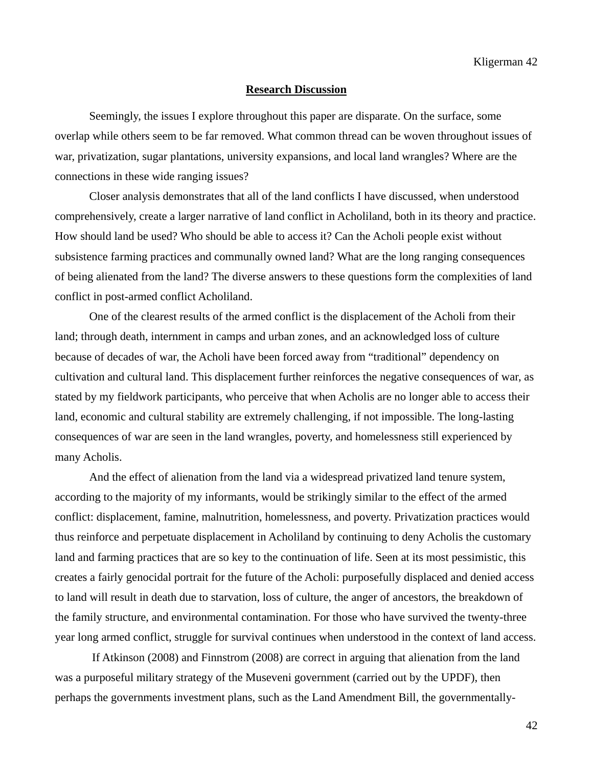#### **Research Discussion**

Seemingly, the issues I explore throughout this paper are disparate. On the surface, some overlap while others seem to be far removed. What common thread can be woven throughout issues of war, privatization, sugar plantations, university expansions, and local land wrangles? Where are the connections in these wide ranging issues?

 Closer analysis demonstrates that all of the land conflicts I have discussed, when understood comprehensively, create a larger narrative of land conflict in Acholiland, both in its theory and practice. How should land be used? Who should be able to access it? Can the Acholi people exist without subsistence farming practices and communally owned land? What are the long ranging consequences of being alienated from the land? The diverse answers to these questions form the complexities of land conflict in post-armed conflict Acholiland.

 One of the clearest results of the armed conflict is the displacement of the Acholi from their land; through death, internment in camps and urban zones, and an acknowledged loss of culture because of decades of war, the Acholi have been forced away from "traditional" dependency on cultivation and cultural land. This displacement further reinforces the negative consequences of war, as stated by my fieldwork participants, who perceive that when Acholis are no longer able to access their land, economic and cultural stability are extremely challenging, if not impossible. The long-lasting consequences of war are seen in the land wrangles, poverty, and homelessness still experienced by many Acholis.

 And the effect of alienation from the land via a widespread privatized land tenure system, according to the majority of my informants, would be strikingly similar to the effect of the armed conflict: displacement, famine, malnutrition, homelessness, and poverty. Privatization practices would thus reinforce and perpetuate displacement in Acholiland by continuing to deny Acholis the customary land and farming practices that are so key to the continuation of life. Seen at its most pessimistic, this creates a fairly genocidal portrait for the future of the Acholi: purposefully displaced and denied access to land will result in death due to starvation, loss of culture, the anger of ancestors, the breakdown of the family structure, and environmental contamination. For those who have survived the twenty-three year long armed conflict, struggle for survival continues when understood in the context of land access.

 If Atkinson (2008) and Finnstrom (2008) are correct in arguing that alienation from the land was a purposeful military strategy of the Museveni government (carried out by the UPDF), then perhaps the governments investment plans, such as the Land Amendment Bill, the governmentally-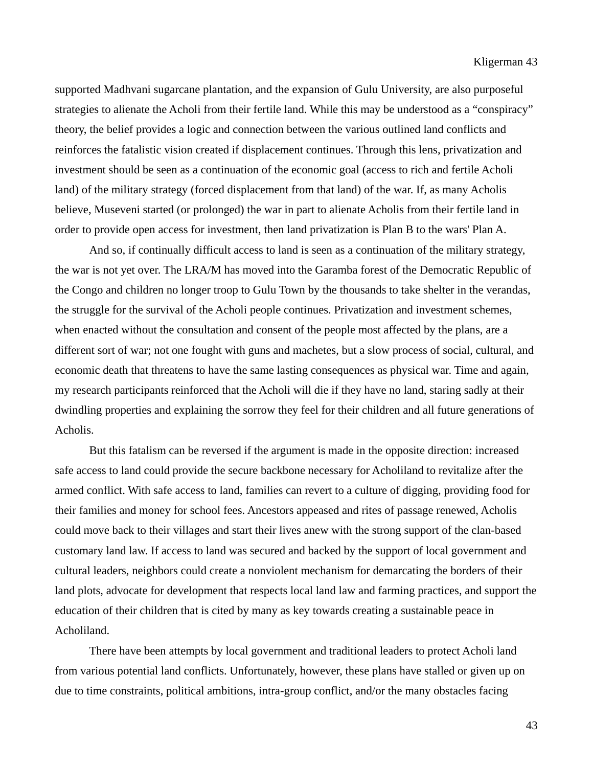supported Madhvani sugarcane plantation, and the expansion of Gulu University, are also purposeful strategies to alienate the Acholi from their fertile land. While this may be understood as a "conspiracy" theory, the belief provides a logic and connection between the various outlined land conflicts and reinforces the fatalistic vision created if displacement continues. Through this lens, privatization and investment should be seen as a continuation of the economic goal (access to rich and fertile Acholi land) of the military strategy (forced displacement from that land) of the war. If, as many Acholis believe, Museveni started (or prolonged) the war in part to alienate Acholis from their fertile land in order to provide open access for investment, then land privatization is Plan B to the wars' Plan A.

 And so, if continually difficult access to land is seen as a continuation of the military strategy, the war is not yet over. The LRA/M has moved into the Garamba forest of the Democratic Republic of the Congo and children no longer troop to Gulu Town by the thousands to take shelter in the verandas, the struggle for the survival of the Acholi people continues. Privatization and investment schemes, when enacted without the consultation and consent of the people most affected by the plans, are a different sort of war; not one fought with guns and machetes, but a slow process of social, cultural, and economic death that threatens to have the same lasting consequences as physical war. Time and again, my research participants reinforced that the Acholi will die if they have no land, staring sadly at their dwindling properties and explaining the sorrow they feel for their children and all future generations of Acholis.

 But this fatalism can be reversed if the argument is made in the opposite direction: increased safe access to land could provide the secure backbone necessary for Acholiland to revitalize after the armed conflict. With safe access to land, families can revert to a culture of digging, providing food for their families and money for school fees. Ancestors appeased and rites of passage renewed, Acholis could move back to their villages and start their lives anew with the strong support of the clan-based customary land law. If access to land was secured and backed by the support of local government and cultural leaders, neighbors could create a nonviolent mechanism for demarcating the borders of their land plots, advocate for development that respects local land law and farming practices, and support the education of their children that is cited by many as key towards creating a sustainable peace in Acholiland.

 There have been attempts by local government and traditional leaders to protect Acholi land from various potential land conflicts. Unfortunately, however, these plans have stalled or given up on due to time constraints, political ambitions, intra-group conflict, and/or the many obstacles facing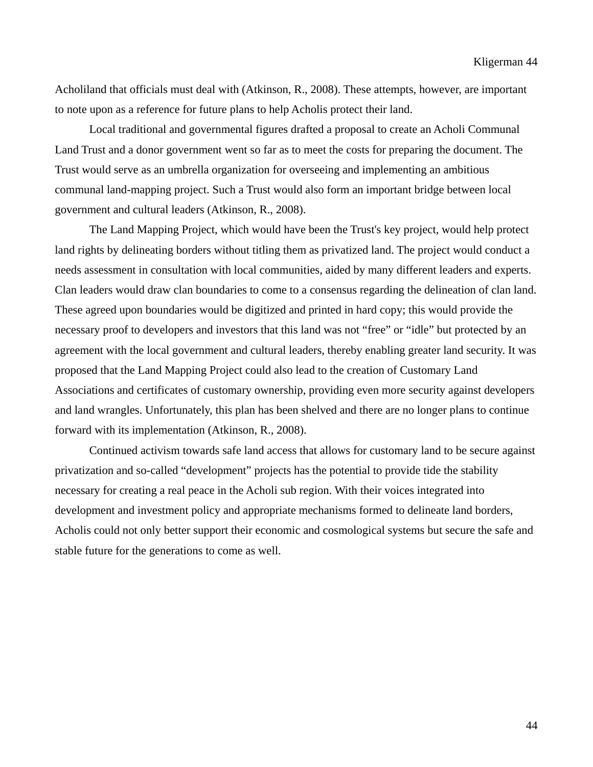Acholiland that officials must deal with (Atkinson, R., 2008). These attempts, however, are important to note upon as a reference for future plans to help Acholis protect their land.

 Local traditional and governmental figures drafted a proposal to create an Acholi Communal Land Trust and a donor government went so far as to meet the costs for preparing the document. The Trust would serve as an umbrella organization for overseeing and implementing an ambitious communal land-mapping project. Such a Trust would also form an important bridge between local government and cultural leaders (Atkinson, R., 2008).

 The Land Mapping Project, which would have been the Trust's key project, would help protect land rights by delineating borders without titling them as privatized land. The project would conduct a needs assessment in consultation with local communities, aided by many different leaders and experts. Clan leaders would draw clan boundaries to come to a consensus regarding the delineation of clan land. These agreed upon boundaries would be digitized and printed in hard copy; this would provide the necessary proof to developers and investors that this land was not "free" or "idle" but protected by an agreement with the local government and cultural leaders, thereby enabling greater land security. It was proposed that the Land Mapping Project could also lead to the creation of Customary Land Associations and certificates of customary ownership, providing even more security against developers and land wrangles. Unfortunately, this plan has been shelved and there are no longer plans to continue forward with its implementation (Atkinson, R., 2008).

 Continued activism towards safe land access that allows for customary land to be secure against privatization and so-called "development" projects has the potential to provide tide the stability necessary for creating a real peace in the Acholi sub region. With their voices integrated into development and investment policy and appropriate mechanisms formed to delineate land borders, Acholis could not only better support their economic and cosmological systems but secure the safe and stable future for the generations to come as well.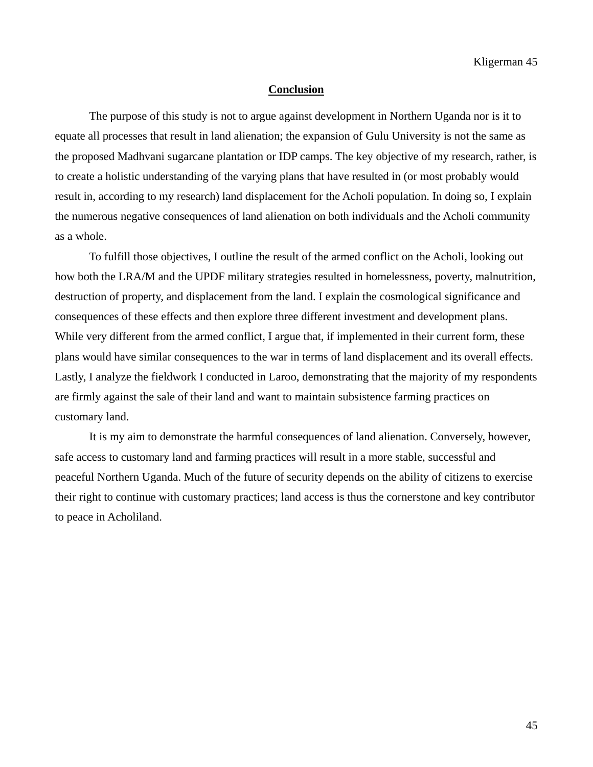#### **Conclusion**

 The purpose of this study is not to argue against development in Northern Uganda nor is it to equate all processes that result in land alienation; the expansion of Gulu University is not the same as the proposed Madhvani sugarcane plantation or IDP camps. The key objective of my research, rather, is to create a holistic understanding of the varying plans that have resulted in (or most probably would result in, according to my research) land displacement for the Acholi population. In doing so, I explain the numerous negative consequences of land alienation on both individuals and the Acholi community as a whole.

 To fulfill those objectives, I outline the result of the armed conflict on the Acholi, looking out how both the LRA/M and the UPDF military strategies resulted in homelessness, poverty, malnutrition, destruction of property, and displacement from the land. I explain the cosmological significance and consequences of these effects and then explore three different investment and development plans. While very different from the armed conflict, I argue that, if implemented in their current form, these plans would have similar consequences to the war in terms of land displacement and its overall effects. Lastly, I analyze the fieldwork I conducted in Laroo, demonstrating that the majority of my respondents are firmly against the sale of their land and want to maintain subsistence farming practices on customary land.

 It is my aim to demonstrate the harmful consequences of land alienation. Conversely, however, safe access to customary land and farming practices will result in a more stable, successful and peaceful Northern Uganda. Much of the future of security depends on the ability of citizens to exercise their right to continue with customary practices; land access is thus the cornerstone and key contributor to peace in Acholiland.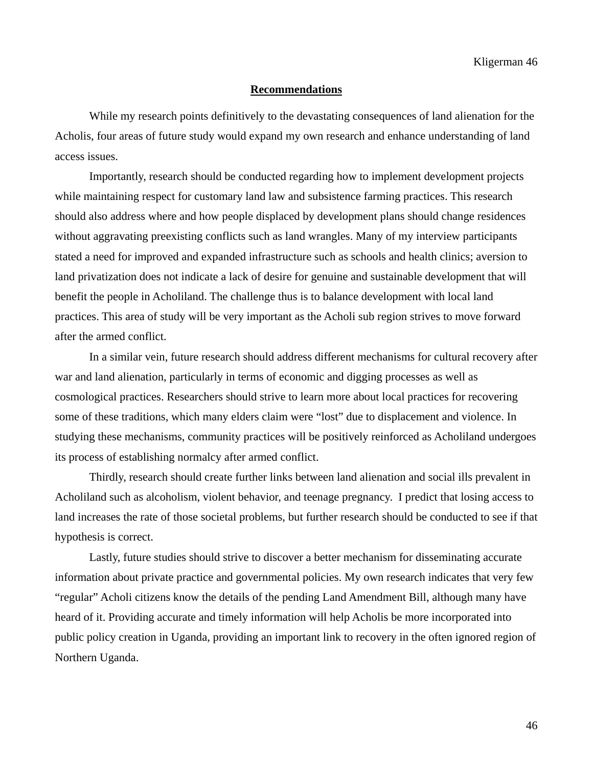#### **Recommendations**

 While my research points definitively to the devastating consequences of land alienation for the Acholis, four areas of future study would expand my own research and enhance understanding of land access issues.

 Importantly, research should be conducted regarding how to implement development projects while maintaining respect for customary land law and subsistence farming practices. This research should also address where and how people displaced by development plans should change residences without aggravating preexisting conflicts such as land wrangles. Many of my interview participants stated a need for improved and expanded infrastructure such as schools and health clinics; aversion to land privatization does not indicate a lack of desire for genuine and sustainable development that will benefit the people in Acholiland. The challenge thus is to balance development with local land practices. This area of study will be very important as the Acholi sub region strives to move forward after the armed conflict.

 In a similar vein, future research should address different mechanisms for cultural recovery after war and land alienation, particularly in terms of economic and digging processes as well as cosmological practices. Researchers should strive to learn more about local practices for recovering some of these traditions, which many elders claim were "lost" due to displacement and violence. In studying these mechanisms, community practices will be positively reinforced as Acholiland undergoes its process of establishing normalcy after armed conflict.

 Thirdly, research should create further links between land alienation and social ills prevalent in Acholiland such as alcoholism, violent behavior, and teenage pregnancy. I predict that losing access to land increases the rate of those societal problems, but further research should be conducted to see if that hypothesis is correct.

 Lastly, future studies should strive to discover a better mechanism for disseminating accurate information about private practice and governmental policies. My own research indicates that very few "regular" Acholi citizens know the details of the pending Land Amendment Bill, although many have heard of it. Providing accurate and timely information will help Acholis be more incorporated into public policy creation in Uganda, providing an important link to recovery in the often ignored region of Northern Uganda.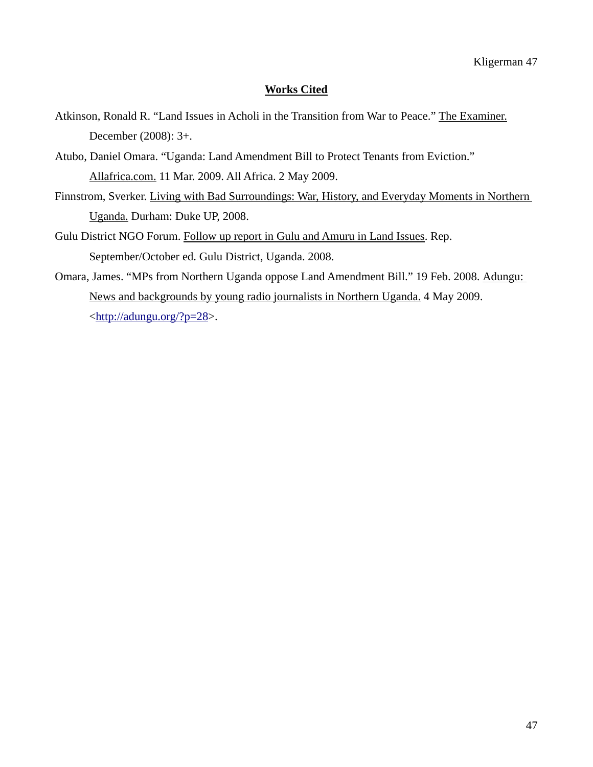# **Works Cited**

- Atkinson, Ronald R. "Land Issues in Acholi in the Transition from War to Peace." The Examiner. December (2008): 3+.
- Atubo, Daniel Omara. "Uganda: Land Amendment Bill to Protect Tenants from Eviction." Allafrica.com. 11 Mar. 2009. All Africa. 2 May 2009.
- Finnstrom, Sverker. Living with Bad Surroundings: War, History, and Everyday Moments in Northern Uganda. Durham: Duke UP, 2008.
- Gulu District NGO Forum. Follow up report in Gulu and Amuru in Land Issues. Rep. September/October ed. Gulu District, Uganda. 2008.
- Omara, James. "MPs from Northern Uganda oppose Land Amendment Bill." 19 Feb. 2008. Adungu: News and backgrounds by young radio journalists in Northern Uganda. 4 May 2009. <<http://adungu.org/?p=28>>.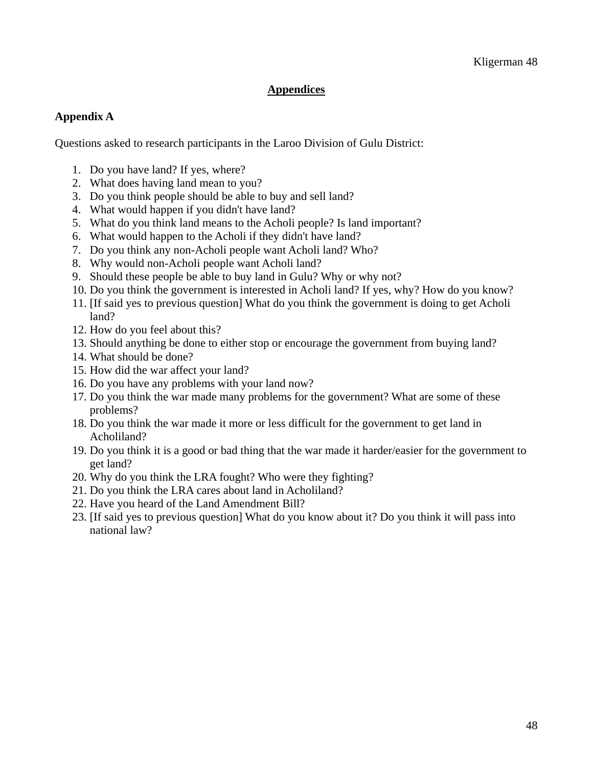# **Appendices**

# **Appendix A**

Questions asked to research participants in the Laroo Division of Gulu District:

- 1. Do you have land? If yes, where?
- 2. What does having land mean to you?
- 3. Do you think people should be able to buy and sell land?
- 4. What would happen if you didn't have land?
- 5. What do you think land means to the Acholi people? Is land important?
- 6. What would happen to the Acholi if they didn't have land?
- 7. Do you think any non-Acholi people want Acholi land? Who?
- 8. Why would non-Acholi people want Acholi land?
- 9. Should these people be able to buy land in Gulu? Why or why not?
- 10. Do you think the government is interested in Acholi land? If yes, why? How do you know?
- 11. [If said yes to previous question] What do you think the government is doing to get Acholi land?
- 12. How do you feel about this?
- 13. Should anything be done to either stop or encourage the government from buying land?
- 14. What should be done?
- 15. How did the war affect your land?
- 16. Do you have any problems with your land now?
- 17. Do you think the war made many problems for the government? What are some of these problems?
- 18. Do you think the war made it more or less difficult for the government to get land in Acholiland?
- 19. Do you think it is a good or bad thing that the war made it harder/easier for the government to get land?
- 20. Why do you think the LRA fought? Who were they fighting?
- 21. Do you think the LRA cares about land in Acholiland?
- 22. Have you heard of the Land Amendment Bill?
- 23. [If said yes to previous question] What do you know about it? Do you think it will pass into national law?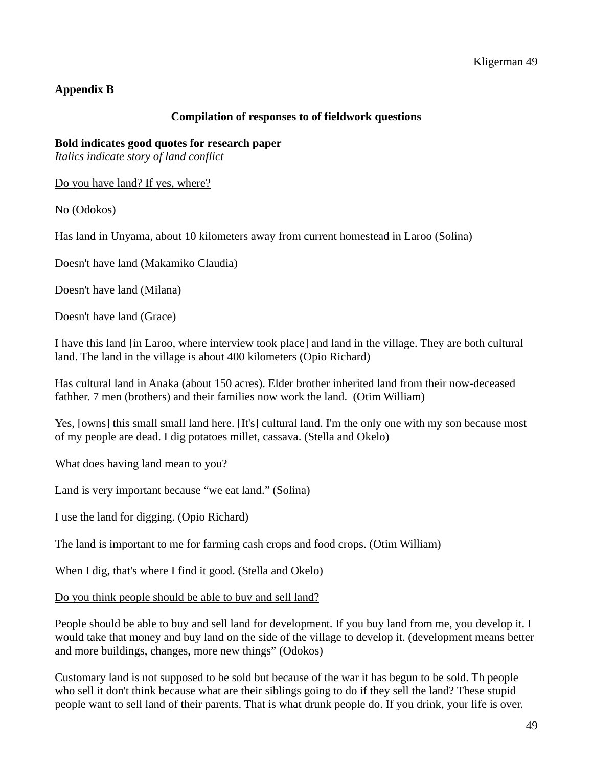# **Appendix B**

# **Compilation of responses to of fieldwork questions**

## **Bold indicates good quotes for research paper**

*Italics indicate story of land conflict* 

Do you have land? If yes, where?

No (Odokos)

Has land in Unyama, about 10 kilometers away from current homestead in Laroo (Solina)

Doesn't have land (Makamiko Claudia)

Doesn't have land (Milana)

Doesn't have land (Grace)

I have this land [in Laroo, where interview took place] and land in the village. They are both cultural land. The land in the village is about 400 kilometers (Opio Richard)

Has cultural land in Anaka (about 150 acres). Elder brother inherited land from their now-deceased fathher. 7 men (brothers) and their families now work the land. (Otim William)

Yes, [owns] this small small land here. [It's] cultural land. I'm the only one with my son because most of my people are dead. I dig potatoes millet, cassava. (Stella and Okelo)

What does having land mean to you?

Land is very important because "we eat land." (Solina)

I use the land for digging. (Opio Richard)

The land is important to me for farming cash crops and food crops. (Otim William)

When I dig, that's where I find it good. (Stella and Okelo)

Do you think people should be able to buy and sell land?

People should be able to buy and sell land for development. If you buy land from me, you develop it. I would take that money and buy land on the side of the village to develop it. (development means better and more buildings, changes, more new things" (Odokos)

Customary land is not supposed to be sold but because of the war it has begun to be sold. Th people who sell it don't think because what are their siblings going to do if they sell the land? These stupid people want to sell land of their parents. That is what drunk people do. If you drink, your life is over.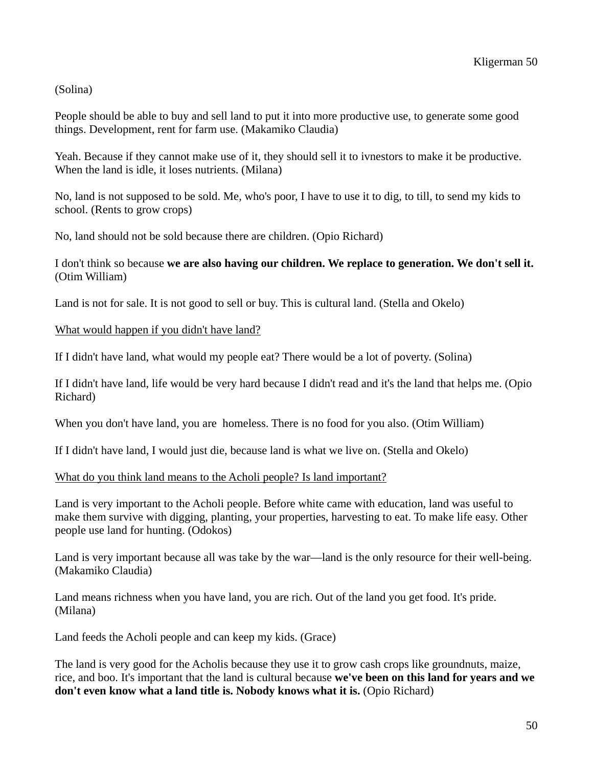### (Solina)

People should be able to buy and sell land to put it into more productive use, to generate some good things. Development, rent for farm use. (Makamiko Claudia)

Yeah. Because if they cannot make use of it, they should sell it to ivnestors to make it be productive. When the land is idle, it loses nutrients. (Milana)

No, land is not supposed to be sold. Me, who's poor, I have to use it to dig, to till, to send my kids to school. (Rents to grow crops)

No, land should not be sold because there are children. (Opio Richard)

# I don't think so because **we are also having our children. We replace to generation. We don't sell it.** (Otim William)

Land is not for sale. It is not good to sell or buy. This is cultural land. (Stella and Okelo)

### What would happen if you didn't have land?

If I didn't have land, what would my people eat? There would be a lot of poverty. (Solina)

If I didn't have land, life would be very hard because I didn't read and it's the land that helps me. (Opio Richard)

When you don't have land, you are homeless. There is no food for you also. (Otim William)

If I didn't have land, I would just die, because land is what we live on. (Stella and Okelo)

What do you think land means to the Acholi people? Is land important?

Land is very important to the Acholi people. Before white came with education, land was useful to make them survive with digging, planting, your properties, harvesting to eat. To make life easy. Other people use land for hunting. (Odokos)

Land is very important because all was take by the war—land is the only resource for their well-being. (Makamiko Claudia)

Land means richness when you have land, you are rich. Out of the land you get food. It's pride. (Milana)

Land feeds the Acholi people and can keep my kids. (Grace)

The land is very good for the Acholis because they use it to grow cash crops like groundnuts, maize, rice, and boo. It's important that the land is cultural because **we've been on this land for years and we don't even know what a land title is. Nobody knows what it is.** (Opio Richard)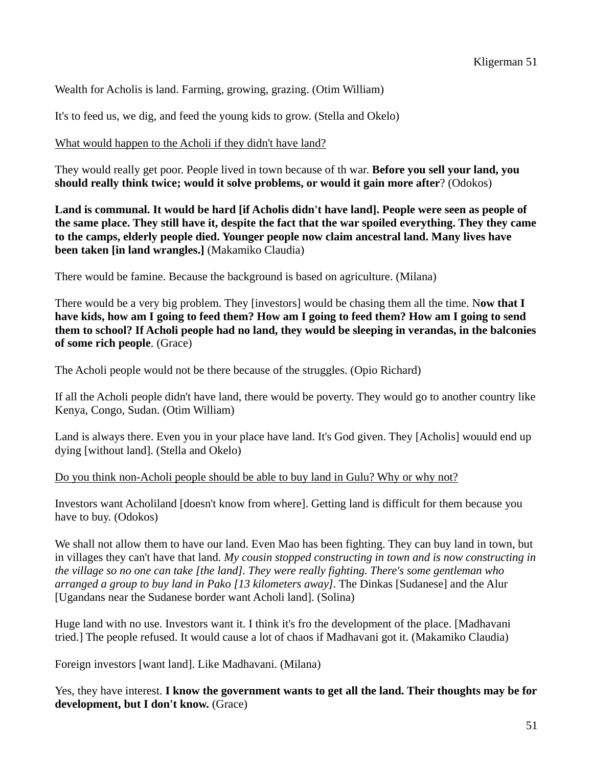Wealth for Acholis is land. Farming, growing, grazing. (Otim William)

It's to feed us, we dig, and feed the young kids to grow. (Stella and Okelo)

What would happen to the Acholi if they didn't have land?

They would really get poor. People lived in town because of th war. **Before you sell your land, you should really think twice; would it solve problems, or would it gain more after**? (Odokos)

**Land is communal. It would be hard [if Acholis didn't have land]. People were seen as people of the same place. They still have it, despite the fact that the war spoiled everything. They they came to the camps, elderly people died. Younger people now claim ancestral land. Many lives have been taken [in land wrangles.]** (Makamiko Claudia)

There would be famine. Because the background is based on agriculture. (Milana)

There would be a very big problem. They [investors] would be chasing them all the time. N**ow that I have kids, how am I going to feed them? How am I going to feed them? How am I going to send them to school? If Acholi people had no land, they would be sleeping in verandas, in the balconies of some rich people**. (Grace)

The Acholi people would not be there because of the struggles. (Opio Richard)

If all the Acholi people didn't have land, there would be poverty. They would go to another country like Kenya, Congo, Sudan. (Otim William)

Land is always there. Even you in your place have land. It's God given. They [Acholis] wouuld end up dying [without land]. (Stella and Okelo)

Do you think non-Acholi people should be able to buy land in Gulu? Why or why not?

Investors want Acholiland [doesn't know from where]. Getting land is difficult for them because you have to buy. (Odokos)

We shall not allow them to have our land. Even Mao has been fighting. They can buy land in town, but in villages they can't have that land. *My cousin stopped constructing in town and is now constructing in the village so no one can take [the land]. They were really fighting. There's some gentleman who arranged a group to buy land in Pako [13 kilometers away].* The Dinkas [Sudanese] and the Alur [Ugandans near the Sudanese border want Acholi land]. (Solina)

Huge land with no use. Investors want it. I think it's fro the development of the place. [Madhavani tried.] The people refused. It would cause a lot of chaos if Madhavani got it. (Makamiko Claudia)

Foreign investors [want land]. Like Madhavani. (Milana)

Yes, they have interest. **I know the government wants to get all the land. Their thoughts may be for development, but I don't know.** (Grace)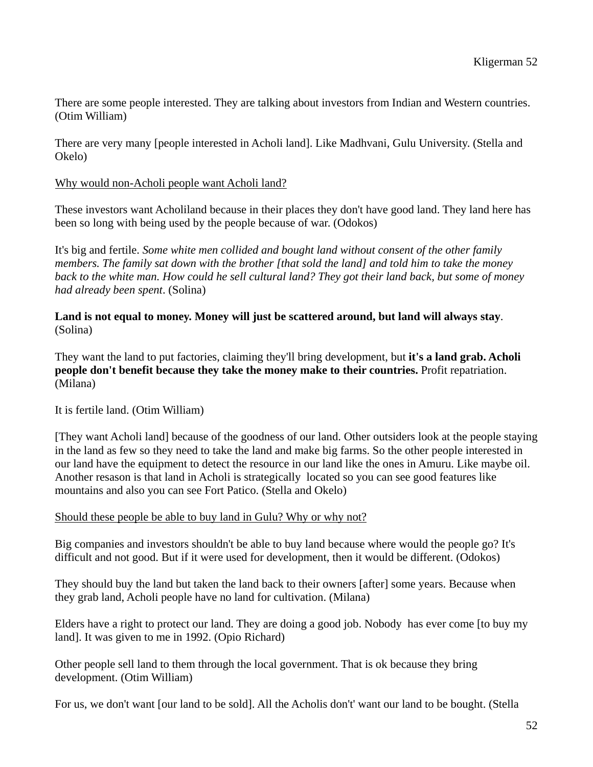There are some people interested. They are talking about investors from Indian and Western countries. (Otim William)

There are very many [people interested in Acholi land]. Like Madhvani, Gulu University. (Stella and Okelo)

## Why would non-Acholi people want Acholi land?

These investors want Acholiland because in their places they don't have good land. They land here has been so long with being used by the people because of war. (Odokos)

It's big and fertile. *Some white men collided and bought land without consent of the other family members. The family sat down with the brother [that sold the land] and told him to take the money back to the white man. How could he sell cultural land? They got their land back, but some of money had already been spent*. (Solina)

**Land is not equal to money. Money will just be scattered around, but land will always stay**. (Solina)

They want the land to put factories, claiming they'll bring development, but **it's a land grab. Acholi people don't benefit because they take the money make to their countries.** Profit repatriation. (Milana)

### It is fertile land. (Otim William)

[They want Acholi land] because of the goodness of our land. Other outsiders look at the people staying in the land as few so they need to take the land and make big farms. So the other people interested in our land have the equipment to detect the resource in our land like the ones in Amuru. Like maybe oil. Another resason is that land in Acholi is strategically located so you can see good features like mountains and also you can see Fort Patico. (Stella and Okelo)

### Should these people be able to buy land in Gulu? Why or why not?

Big companies and investors shouldn't be able to buy land because where would the people go? It's difficult and not good. But if it were used for development, then it would be different. (Odokos)

They should buy the land but taken the land back to their owners [after] some years. Because when they grab land, Acholi people have no land for cultivation. (Milana)

Elders have a right to protect our land. They are doing a good job. Nobody has ever come [to buy my land]. It was given to me in 1992. (Opio Richard)

Other people sell land to them through the local government. That is ok because they bring development. (Otim William)

For us, we don't want [our land to be sold]. All the Acholis don't' want our land to be bought. (Stella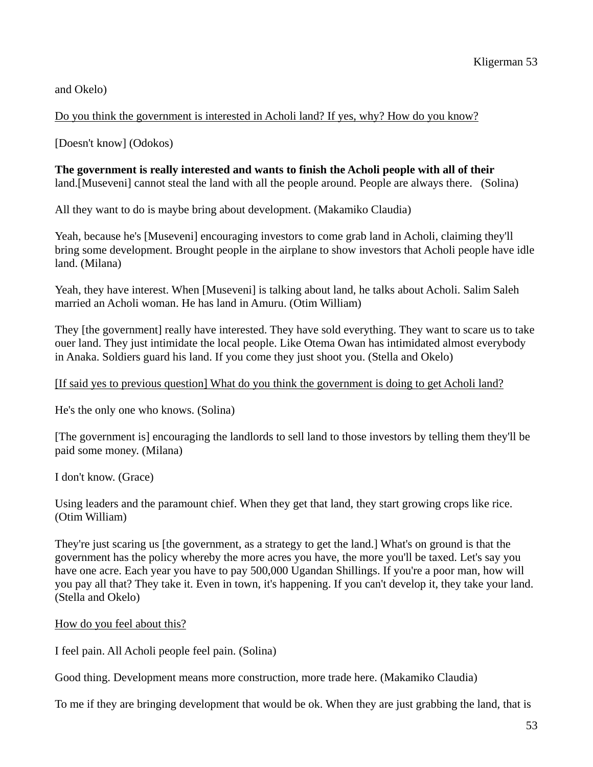and Okelo)

Do you think the government is interested in Acholi land? If yes, why? How do you know?

[Doesn't know] (Odokos)

# **The government is really interested and wants to finish the Acholi people with all of their**  land.[Museveni] cannot steal the land with all the people around. People are always there. (Solina)

All they want to do is maybe bring about development. (Makamiko Claudia)

Yeah, because he's [Museveni] encouraging investors to come grab land in Acholi, claiming they'll bring some development. Brought people in the airplane to show investors that Acholi people have idle land. (Milana)

Yeah, they have interest. When [Museveni] is talking about land, he talks about Acholi. Salim Saleh married an Acholi woman. He has land in Amuru. (Otim William)

They [the government] really have interested. They have sold everything. They want to scare us to take ouer land. They just intimidate the local people. Like Otema Owan has intimidated almost everybody in Anaka. Soldiers guard his land. If you come they just shoot you. (Stella and Okelo)

# [If said yes to previous question] What do you think the government is doing to get Acholi land?

He's the only one who knows. (Solina)

[The government is] encouraging the landlords to sell land to those investors by telling them they'll be paid some money. (Milana)

I don't know. (Grace)

Using leaders and the paramount chief. When they get that land, they start growing crops like rice. (Otim William)

They're just scaring us [the government, as a strategy to get the land.] What's on ground is that the government has the policy whereby the more acres you have, the more you'll be taxed. Let's say you have one acre. Each year you have to pay 500,000 Ugandan Shillings. If you're a poor man, how will you pay all that? They take it. Even in town, it's happening. If you can't develop it, they take your land. (Stella and Okelo)

### How do you feel about this?

I feel pain. All Acholi people feel pain. (Solina)

Good thing. Development means more construction, more trade here. (Makamiko Claudia)

To me if they are bringing development that would be ok. When they are just grabbing the land, that is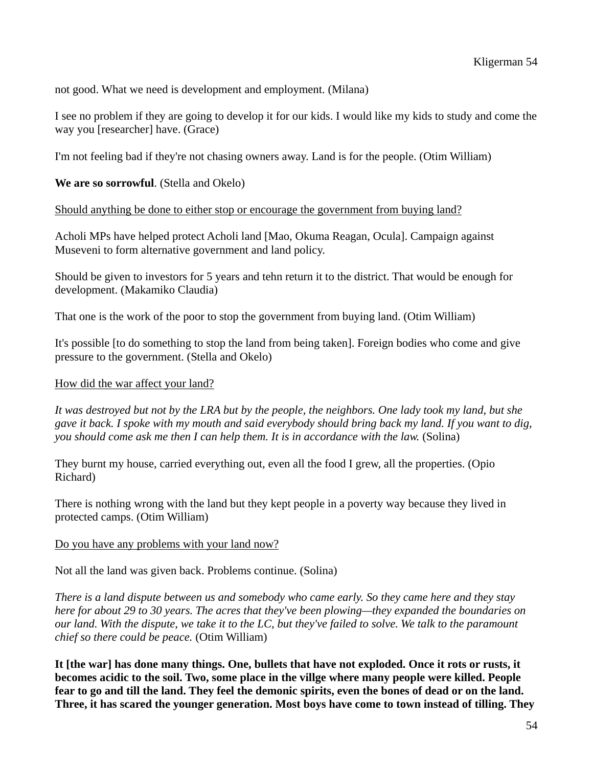not good. What we need is development and employment. (Milana)

I see no problem if they are going to develop it for our kids. I would like my kids to study and come the way you [researcher] have. (Grace)

I'm not feeling bad if they're not chasing owners away. Land is for the people. (Otim William)

# **We are so sorrowful**. (Stella and Okelo)

Should anything be done to either stop or encourage the government from buying land?

Acholi MPs have helped protect Acholi land [Mao, Okuma Reagan, Ocula]. Campaign against Museveni to form alternative government and land policy.

Should be given to investors for 5 years and tehn return it to the district. That would be enough for development. (Makamiko Claudia)

That one is the work of the poor to stop the government from buying land. (Otim William)

It's possible [to do something to stop the land from being taken]. Foreign bodies who come and give pressure to the government. (Stella and Okelo)

# How did the war affect your land?

*It was destroyed but not by the LRA but by the people, the neighbors. One lady took my land, but she gave it back. I spoke with my mouth and said everybody should bring back my land. If you want to dig, you should come ask me then I can help them. It is in accordance with the law.* (Solina)

They burnt my house, carried everything out, even all the food I grew, all the properties. (Opio Richard)

There is nothing wrong with the land but they kept people in a poverty way because they lived in protected camps. (Otim William)

### Do you have any problems with your land now?

Not all the land was given back. Problems continue. (Solina)

*There is a land dispute between us and somebody who came early. So they came here and they stay here for about 29 to 30 years. The acres that they've been plowing—they expanded the boundaries on our land. With the dispute, we take it to the LC, but they've failed to solve. We talk to the paramount chief so there could be peace.* (Otim William)

**It [the war] has done many things. One, bullets that have not exploded. Once it rots or rusts, it becomes acidic to the soil. Two, some place in the villge where many people were killed. People fear to go and till the land. They feel the demonic spirits, even the bones of dead or on the land. Three, it has scared the younger generation. Most boys have come to town instead of tilling. They**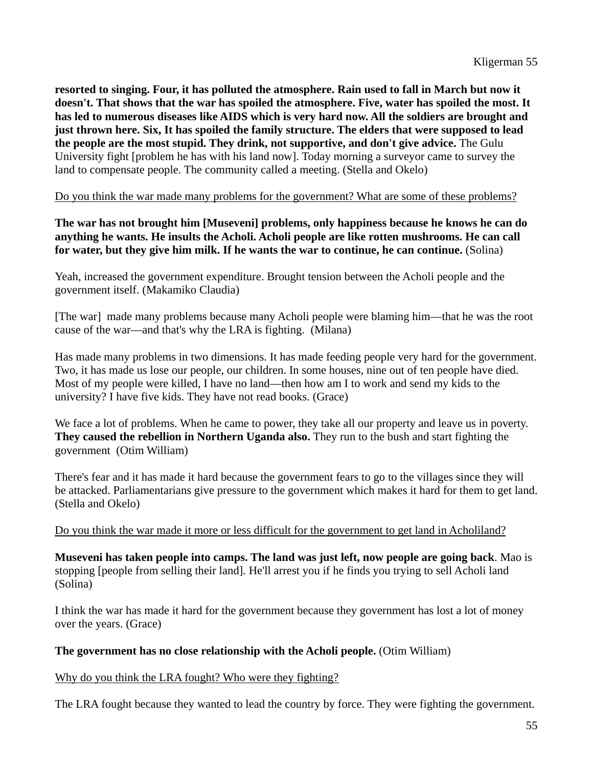**resorted to singing. Four, it has polluted the atmosphere. Rain used to fall in March but now it doesn't. That shows that the war has spoiled the atmosphere. Five, water has spoiled the most. It has led to numerous diseases like AIDS which is very hard now. All the soldiers are brought and just thrown here. Six, It has spoiled the family structure. The elders that were supposed to lead the people are the most stupid. They drink, not supportive, and don't give advice.** The Gulu University fight [problem he has with his land now]. Today morning a surveyor came to survey the land to compensate people. The community called a meeting. (Stella and Okelo)

### Do you think the war made many problems for the government? What are some of these problems?

**The war has not brought him [Museveni] problems, only happiness because he knows he can do anything he wants. He insults the Acholi. Acholi people are like rotten mushrooms. He can call for water, but they give him milk. If he wants the war to continue, he can continue.** (Solina)

Yeah, increased the government expenditure. Brought tension between the Acholi people and the government itself. (Makamiko Claudia)

[The war] made many problems because many Acholi people were blaming him—that he was the root cause of the war—and that's why the LRA is fighting. (Milana)

Has made many problems in two dimensions. It has made feeding people very hard for the government. Two, it has made us lose our people, our children. In some houses, nine out of ten people have died. Most of my people were killed, I have no land—then how am I to work and send my kids to the university? I have five kids. They have not read books. (Grace)

We face a lot of problems. When he came to power, they take all our property and leave us in poverty. **They caused the rebellion in Northern Uganda also.** They run to the bush and start fighting the government (Otim William)

There's fear and it has made it hard because the government fears to go to the villages since they will be attacked. Parliamentarians give pressure to the government which makes it hard for them to get land. (Stella and Okelo)

### Do you think the war made it more or less difficult for the government to get land in Acholiland?

**Museveni has taken people into camps. The land was just left, now people are going back**. Mao is stopping [people from selling their land]. He'll arrest you if he finds you trying to sell Acholi land (Solina)

I think the war has made it hard for the government because they government has lost a lot of money over the years. (Grace)

### **The government has no close relationship with the Acholi people.** (Otim William)

Why do you think the LRA fought? Who were they fighting?

The LRA fought because they wanted to lead the country by force. They were fighting the government.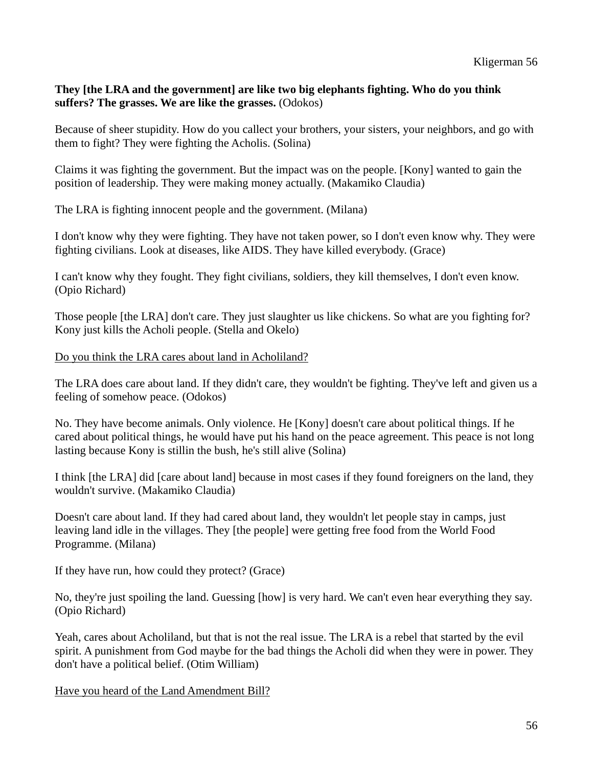# **They [the LRA and the government] are like two big elephants fighting. Who do you think suffers? The grasses. We are like the grasses.** (Odokos)

Because of sheer stupidity. How do you callect your brothers, your sisters, your neighbors, and go with them to fight? They were fighting the Acholis. (Solina)

Claims it was fighting the government. But the impact was on the people. [Kony] wanted to gain the position of leadership. They were making money actually. (Makamiko Claudia)

The LRA is fighting innocent people and the government. (Milana)

I don't know why they were fighting. They have not taken power, so I don't even know why. They were fighting civilians. Look at diseases, like AIDS. They have killed everybody. (Grace)

I can't know why they fought. They fight civilians, soldiers, they kill themselves, I don't even know. (Opio Richard)

Those people [the LRA] don't care. They just slaughter us like chickens. So what are you fighting for? Kony just kills the Acholi people. (Stella and Okelo)

### Do you think the LRA cares about land in Acholiland?

The LRA does care about land. If they didn't care, they wouldn't be fighting. They've left and given us a feeling of somehow peace. (Odokos)

No. They have become animals. Only violence. He [Kony] doesn't care about political things. If he cared about political things, he would have put his hand on the peace agreement. This peace is not long lasting because Kony is stillin the bush, he's still alive (Solina)

I think [the LRA] did [care about land] because in most cases if they found foreigners on the land, they wouldn't survive. (Makamiko Claudia)

Doesn't care about land. If they had cared about land, they wouldn't let people stay in camps, just leaving land idle in the villages. They [the people] were getting free food from the World Food Programme. (Milana)

If they have run, how could they protect? (Grace)

No, they're just spoiling the land. Guessing [how] is very hard. We can't even hear everything they say. (Opio Richard)

Yeah, cares about Acholiland, but that is not the real issue. The LRA is a rebel that started by the evil spirit. A punishment from God maybe for the bad things the Acholi did when they were in power. They don't have a political belief. (Otim William)

Have you heard of the Land Amendment Bill?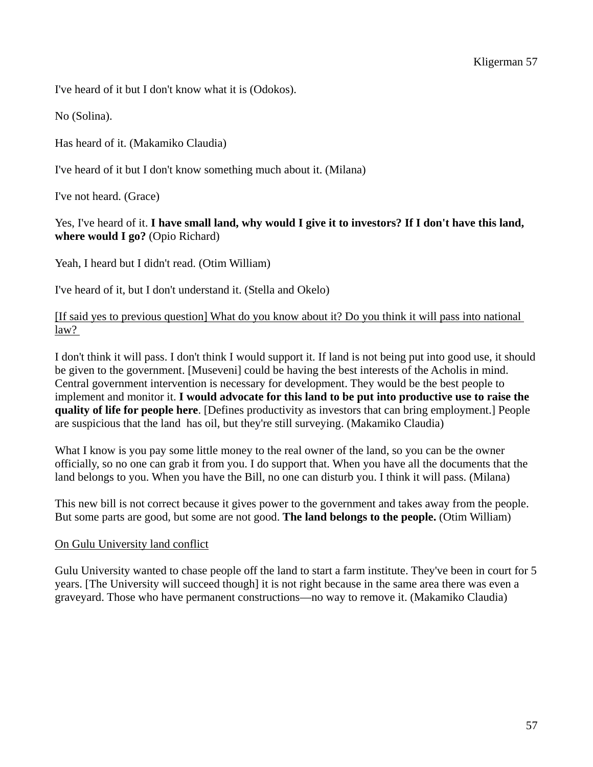I've heard of it but I don't know what it is (Odokos).

No (Solina).

Has heard of it. (Makamiko Claudia)

I've heard of it but I don't know something much about it. (Milana)

I've not heard. (Grace)

# Yes, I've heard of it. **I have small land, why would I give it to investors? If I don't have this land, where would I go?** (Opio Richard)

Yeah, I heard but I didn't read. (Otim William)

I've heard of it, but I don't understand it. (Stella and Okelo)

# [If said yes to previous question] What do you know about it? Do you think it will pass into national law?

I don't think it will pass. I don't think I would support it. If land is not being put into good use, it should be given to the government. [Museveni] could be having the best interests of the Acholis in mind. Central government intervention is necessary for development. They would be the best people to implement and monitor it. **I would advocate for this land to be put into productive use to raise the quality of life for people here**. [Defines productivity as investors that can bring employment.] People are suspicious that the land has oil, but they're still surveying. (Makamiko Claudia)

What I know is you pay some little money to the real owner of the land, so you can be the owner officially, so no one can grab it from you. I do support that. When you have all the documents that the land belongs to you. When you have the Bill, no one can disturb you. I think it will pass. (Milana)

This new bill is not correct because it gives power to the government and takes away from the people. But some parts are good, but some are not good. **The land belongs to the people.** (Otim William)

### On Gulu University land conflict

Gulu University wanted to chase people off the land to start a farm institute. They've been in court for 5 years. [The University will succeed though] it is not right because in the same area there was even a graveyard. Those who have permanent constructions—no way to remove it. (Makamiko Claudia)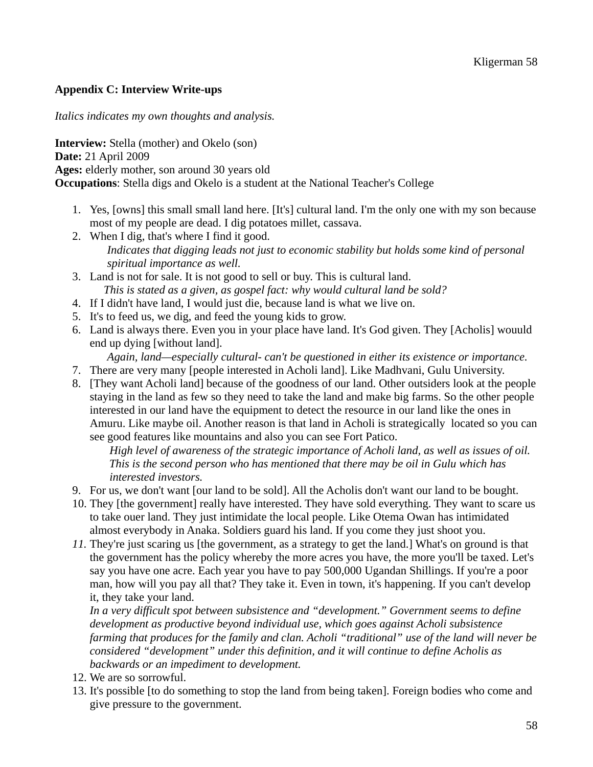# **Appendix C: Interview Write-ups**

*Italics indicates my own thoughts and analysis.* 

**Interview:** Stella (mother) and Okelo (son) **Date:** 21 April 2009 **Ages:** elderly mother, son around 30 years old **Occupations**: Stella digs and Okelo is a student at the National Teacher's College

- 1. Yes, [owns] this small small land here. [It's] cultural land. I'm the only one with my son because most of my people are dead. I dig potatoes millet, cassava.
- 2. When I dig, that's where I find it good. *Indicates that digging leads not just to economic stability but holds some kind of personal spiritual importance as well.*
- 3. Land is not for sale. It is not good to sell or buy. This is cultural land. *This is stated as a given, as gospel fact: why would cultural land be sold?*
- 4. If I didn't have land, I would just die, because land is what we live on.
- 5. It's to feed us, we dig, and feed the young kids to grow.
- 6. Land is always there. Even you in your place have land. It's God given. They [Acholis] wouuld end up dying [without land].
	- *Again, land—especially cultural- can't be questioned in either its existence or importance.*
- 7. There are very many [people interested in Acholi land]. Like Madhvani, Gulu University.
- 8. [They want Acholi land] because of the goodness of our land. Other outsiders look at the people staying in the land as few so they need to take the land and make big farms. So the other people interested in our land have the equipment to detect the resource in our land like the ones in Amuru. Like maybe oil. Another reason is that land in Acholi is strategically located so you can see good features like mountains and also you can see Fort Patico.

 *High level of awareness of the strategic importance of Acholi land, as well as issues of oil. This is the second person who has mentioned that there may be oil in Gulu which has interested investors.* 

- 9. For us, we don't want [our land to be sold]. All the Acholis don't want our land to be bought.
- 10. They [the government] really have interested. They have sold everything. They want to scare us to take ouer land. They just intimidate the local people. Like Otema Owan has intimidated almost everybody in Anaka. Soldiers guard his land. If you come they just shoot you.
- *11.* They're just scaring us [the government, as a strategy to get the land.] What's on ground is that the government has the policy whereby the more acres you have, the more you'll be taxed. Let's say you have one acre. Each year you have to pay 500,000 Ugandan Shillings. If you're a poor man, how will you pay all that? They take it. Even in town, it's happening. If you can't develop it, they take your land.

*In a very difficult spot between subsistence and "development." Government seems to define development as productive beyond individual use, which goes against Acholi subsistence farming that produces for the family and clan. Acholi "traditional" use of the land will never be considered "development" under this definition, and it will continue to define Acholis as backwards or an impediment to development.* 

- 12. We are so sorrowful.
- 13. It's possible [to do something to stop the land from being taken]. Foreign bodies who come and give pressure to the government.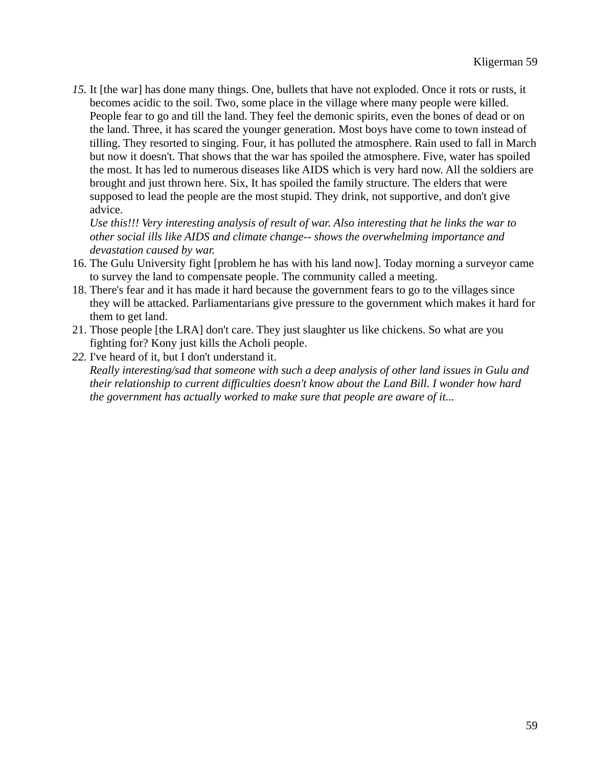*15.* It [the war] has done many things. One, bullets that have not exploded. Once it rots or rusts, it becomes acidic to the soil. Two, some place in the village where many people were killed. People fear to go and till the land. They feel the demonic spirits, even the bones of dead or on the land. Three, it has scared the younger generation. Most boys have come to town instead of tilling. They resorted to singing. Four, it has polluted the atmosphere. Rain used to fall in March but now it doesn't. That shows that the war has spoiled the atmosphere. Five, water has spoiled the most. It has led to numerous diseases like AIDS which is very hard now. All the soldiers are brought and just thrown here. Six, It has spoiled the family structure. The elders that were supposed to lead the people are the most stupid. They drink, not supportive, and don't give advice.

*Use this!!! Very interesting analysis of result of war. Also interesting that he links the war to other social ills like AIDS and climate change-- shows the overwhelming importance and devastation caused by war.* 

- 16. The Gulu University fight [problem he has with his land now]. Today morning a surveyor came to survey the land to compensate people. The community called a meeting.
- 18. There's fear and it has made it hard because the government fears to go to the villages since they will be attacked. Parliamentarians give pressure to the government which makes it hard for them to get land.
- 21. Those people [the LRA] don't care. They just slaughter us like chickens. So what are you fighting for? Kony just kills the Acholi people.
- *22.* I've heard of it, but I don't understand it. *Really interesting/sad that someone with such a deep analysis of other land issues in Gulu and their relationship to current difficulties doesn't know about the Land Bill. I wonder how hard the government has actually worked to make sure that people are aware of it...*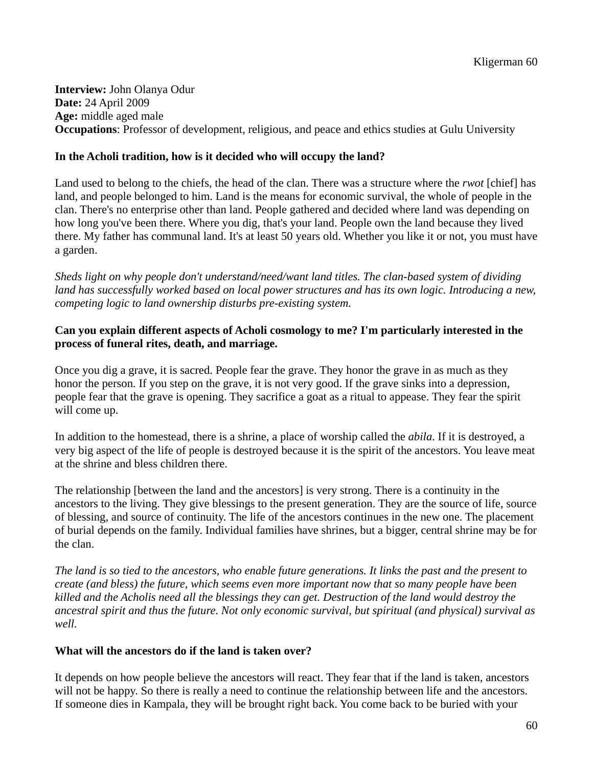**Interview:** John Olanya Odur **Date:** 24 April 2009 **Age:** middle aged male **Occupations**: Professor of development, religious, and peace and ethics studies at Gulu University

# **In the Acholi tradition, how is it decided who will occupy the land?**

Land used to belong to the chiefs, the head of the clan. There was a structure where the *rwot* [chief] has land, and people belonged to him. Land is the means for economic survival, the whole of people in the clan. There's no enterprise other than land. People gathered and decided where land was depending on how long you've been there. Where you dig, that's your land. People own the land because they lived there. My father has communal land. It's at least 50 years old. Whether you like it or not, you must have a garden.

*Sheds light on why people don't understand/need/want land titles. The clan-based system of dividing*  land has successfully worked based on local power structures and has its own logic. Introducing a new, *competing logic to land ownership disturbs pre-existing system.* 

# **Can you explain different aspects of Acholi cosmology to me? I'm particularly interested in the process of funeral rites, death, and marriage.**

Once you dig a grave, it is sacred. People fear the grave. They honor the grave in as much as they honor the person. If you step on the grave, it is not very good. If the grave sinks into a depression, people fear that the grave is opening. They sacrifice a goat as a ritual to appease. They fear the spirit will come up.

In addition to the homestead, there is a shrine, a place of worship called the *abila*. If it is destroyed, a very big aspect of the life of people is destroyed because it is the spirit of the ancestors. You leave meat at the shrine and bless children there.

The relationship [between the land and the ancestors] is very strong. There is a continuity in the ancestors to the living. They give blessings to the present generation. They are the source of life, source of blessing, and source of continuity. The life of the ancestors continues in the new one. The placement of burial depends on the family. Individual families have shrines, but a bigger, central shrine may be for the clan.

*The land is so tied to the ancestors, who enable future generations. It links the past and the present to create (and bless) the future, which seems even more important now that so many people have been killed and the Acholis need all the blessings they can get. Destruction of the land would destroy the ancestral spirit and thus the future. Not only economic survival, but spiritual (and physical) survival as well.* 

### **What will the ancestors do if the land is taken over?**

It depends on how people believe the ancestors will react. They fear that if the land is taken, ancestors will not be happy. So there is really a need to continue the relationship between life and the ancestors. If someone dies in Kampala, they will be brought right back. You come back to be buried with your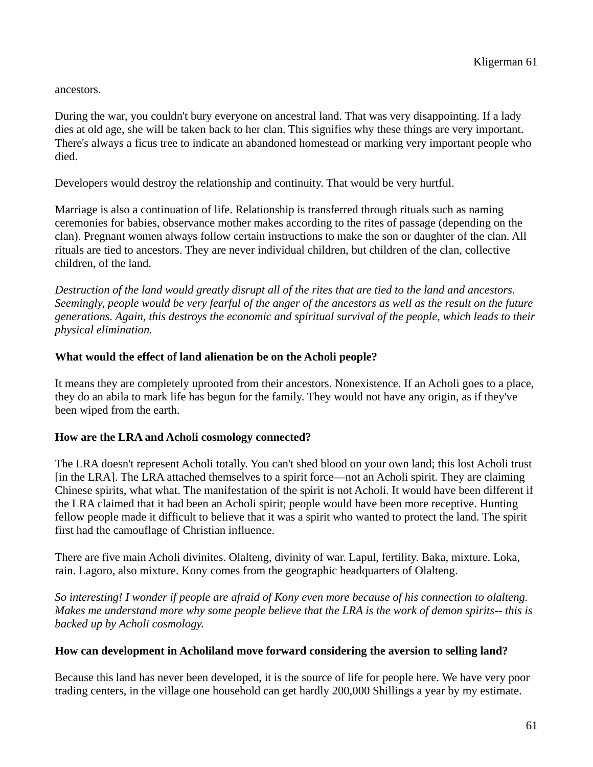ancestors.

During the war, you couldn't bury everyone on ancestral land. That was very disappointing. If a lady dies at old age, she will be taken back to her clan. This signifies why these things are very important. There's always a ficus tree to indicate an abandoned homestead or marking very important people who died.

Developers would destroy the relationship and continuity. That would be very hurtful.

Marriage is also a continuation of life. Relationship is transferred through rituals such as naming ceremonies for babies, observance mother makes according to the rites of passage (depending on the clan). Pregnant women always follow certain instructions to make the son or daughter of the clan. All rituals are tied to ancestors. They are never individual children, but children of the clan, collective children, of the land.

*Destruction of the land would greatly disrupt all of the rites that are tied to the land and ancestors. Seemingly, people would be very fearful of the anger of the ancestors as well as the result on the future generations. Again, this destroys the economic and spiritual survival of the people, which leads to their physical elimination.* 

# **What would the effect of land alienation be on the Acholi people?**

It means they are completely uprooted from their ancestors. Nonexistence. If an Acholi goes to a place, they do an abila to mark life has begun for the family. They would not have any origin, as if they've been wiped from the earth.

### **How are the LRA and Acholi cosmology connected?**

The LRA doesn't represent Acholi totally. You can't shed blood on your own land; this lost Acholi trust [in the LRA]. The LRA attached themselves to a spirit force—not an Acholi spirit. They are claiming Chinese spirits, what what. The manifestation of the spirit is not Acholi. It would have been different if the LRA claimed that it had been an Acholi spirit; people would have been more receptive. Hunting fellow people made it difficult to believe that it was a spirit who wanted to protect the land. The spirit first had the camouflage of Christian influence.

There are five main Acholi divinites. Olalteng, divinity of war. Lapul, fertility. Baka, mixture. Loka, rain. Lagoro, also mixture. Kony comes from the geographic headquarters of Olalteng.

*So interesting! I wonder if people are afraid of Kony even more because of his connection to olalteng. Makes me understand more why some people believe that the LRA is the work of demon spirits-- this is backed up by Acholi cosmology.* 

### **How can development in Acholiland move forward considering the aversion to selling land?**

Because this land has never been developed, it is the source of life for people here. We have very poor trading centers, in the village one household can get hardly 200,000 Shillings a year by my estimate.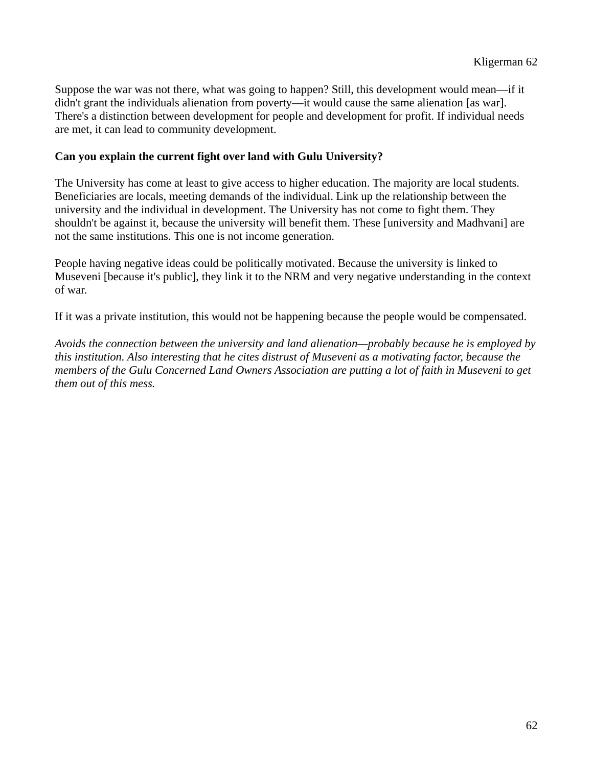Suppose the war was not there, what was going to happen? Still, this development would mean—if it didn't grant the individuals alienation from poverty—it would cause the same alienation [as war]. There's a distinction between development for people and development for profit. If individual needs are met, it can lead to community development.

# **Can you explain the current fight over land with Gulu University?**

The University has come at least to give access to higher education. The majority are local students. Beneficiaries are locals, meeting demands of the individual. Link up the relationship between the university and the individual in development. The University has not come to fight them. They shouldn't be against it, because the university will benefit them. These [university and Madhvani] are not the same institutions. This one is not income generation.

People having negative ideas could be politically motivated. Because the university is linked to Museveni [because it's public], they link it to the NRM and very negative understanding in the context of war.

If it was a private institution, this would not be happening because the people would be compensated.

*Avoids the connection between the university and land alienation—probably because he is employed by this institution. Also interesting that he cites distrust of Museveni as a motivating factor, because the members of the Gulu Concerned Land Owners Association are putting a lot of faith in Museveni to get them out of this mess.*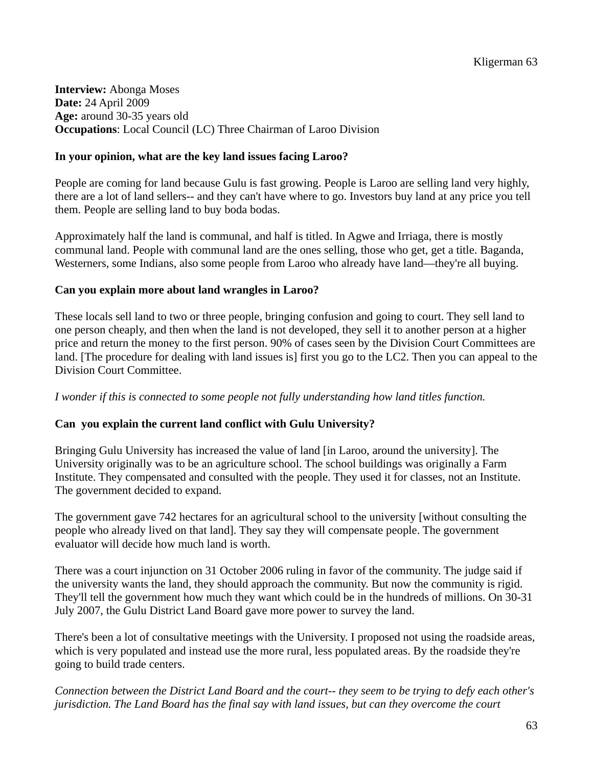**Interview:** Abonga Moses **Date:** 24 April 2009 **Age:** around 30-35 years old **Occupations**: Local Council (LC) Three Chairman of Laroo Division

# **In your opinion, what are the key land issues facing Laroo?**

People are coming for land because Gulu is fast growing. People is Laroo are selling land very highly, there are a lot of land sellers-- and they can't have where to go. Investors buy land at any price you tell them. People are selling land to buy boda bodas.

Approximately half the land is communal, and half is titled. In Agwe and Irriaga, there is mostly communal land. People with communal land are the ones selling, those who get, get a title. Baganda, Westerners, some Indians, also some people from Laroo who already have land—they're all buying.

# **Can you explain more about land wrangles in Laroo?**

These locals sell land to two or three people, bringing confusion and going to court. They sell land to one person cheaply, and then when the land is not developed, they sell it to another person at a higher price and return the money to the first person. 90% of cases seen by the Division Court Committees are land. [The procedure for dealing with land issues is] first you go to the LC2. Then you can appeal to the Division Court Committee.

### *I wonder if this is connected to some people not fully understanding how land titles function.*

# **Can you explain the current land conflict with Gulu University?**

Bringing Gulu University has increased the value of land [in Laroo, around the university]. The University originally was to be an agriculture school. The school buildings was originally a Farm Institute. They compensated and consulted with the people. They used it for classes, not an Institute. The government decided to expand.

The government gave 742 hectares for an agricultural school to the university [without consulting the people who already lived on that land]. They say they will compensate people. The government evaluator will decide how much land is worth.

There was a court injunction on 31 October 2006 ruling in favor of the community. The judge said if the university wants the land, they should approach the community. But now the community is rigid. They'll tell the government how much they want which could be in the hundreds of millions. On 30-31 July 2007, the Gulu District Land Board gave more power to survey the land.

There's been a lot of consultative meetings with the University. I proposed not using the roadside areas, which is very populated and instead use the more rural, less populated areas. By the roadside they're going to build trade centers.

*Connection between the District Land Board and the court-- they seem to be trying to defy each other's jurisdiction. The Land Board has the final say with land issues, but can they overcome the court*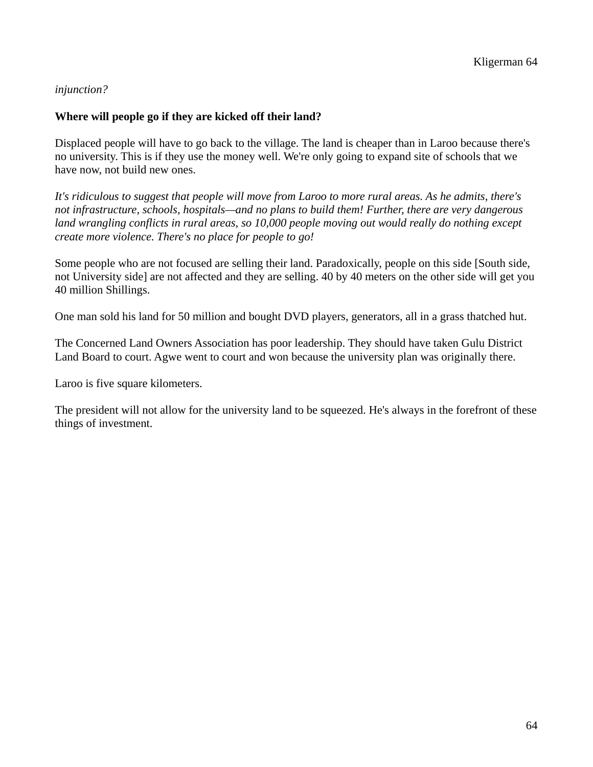# *injunction?*

# **Where will people go if they are kicked off their land?**

Displaced people will have to go back to the village. The land is cheaper than in Laroo because there's no university. This is if they use the money well. We're only going to expand site of schools that we have now, not build new ones.

*It's ridiculous to suggest that people will move from Laroo to more rural areas. As he admits, there's not infrastructure, schools, hospitals—and no plans to build them! Further, there are very dangerous land wrangling conflicts in rural areas, so 10,000 people moving out would really do nothing except create more violence. There's no place for people to go!* 

Some people who are not focused are selling their land. Paradoxically, people on this side [South side, not University side] are not affected and they are selling. 40 by 40 meters on the other side will get you 40 million Shillings.

One man sold his land for 50 million and bought DVD players, generators, all in a grass thatched hut.

The Concerned Land Owners Association has poor leadership. They should have taken Gulu District Land Board to court. Agwe went to court and won because the university plan was originally there.

Laroo is five square kilometers.

The president will not allow for the university land to be squeezed. He's always in the forefront of these things of investment.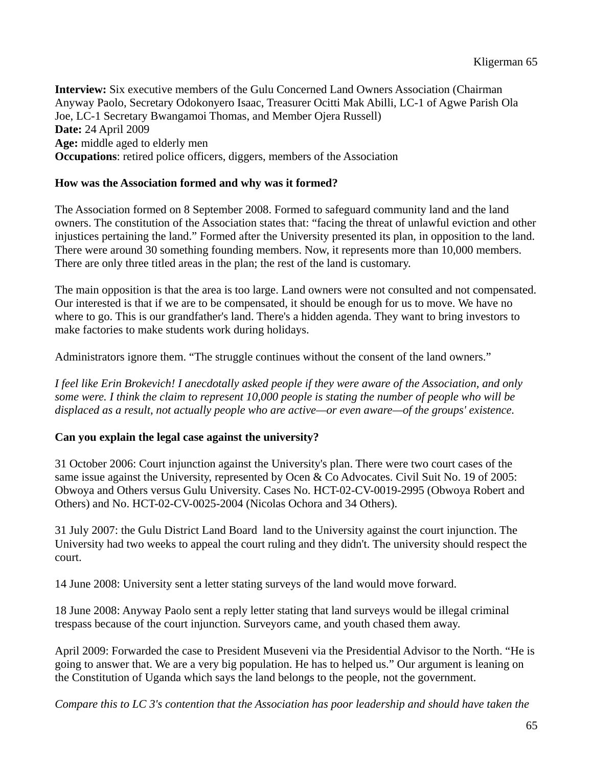**Interview:** Six executive members of the Gulu Concerned Land Owners Association (Chairman Anyway Paolo, Secretary Odokonyero Isaac, Treasurer Ocitti Mak Abilli, LC-1 of Agwe Parish Ola Joe, LC-1 Secretary Bwangamoi Thomas, and Member Ojera Russell) **Date:** 24 April 2009 **Age:** middle aged to elderly men **Occupations**: retired police officers, diggers, members of the Association

# **How was the Association formed and why was it formed?**

The Association formed on 8 September 2008. Formed to safeguard community land and the land owners. The constitution of the Association states that: "facing the threat of unlawful eviction and other injustices pertaining the land." Formed after the University presented its plan, in opposition to the land. There were around 30 something founding members. Now, it represents more than 10,000 members. There are only three titled areas in the plan; the rest of the land is customary.

The main opposition is that the area is too large. Land owners were not consulted and not compensated. Our interested is that if we are to be compensated, it should be enough for us to move. We have no where to go. This is our grandfather's land. There's a hidden agenda. They want to bring investors to make factories to make students work during holidays.

Administrators ignore them. "The struggle continues without the consent of the land owners."

*I feel like Erin Brokevich! I anecdotally asked people if they were aware of the Association, and only some were. I think the claim to represent 10,000 people is stating the number of people who will be displaced as a result, not actually people who are active—or even aware—of the groups' existence.* 

# **Can you explain the legal case against the university?**

31 October 2006: Court injunction against the University's plan. There were two court cases of the same issue against the University, represented by Ocen & Co Advocates. Civil Suit No. 19 of 2005: Obwoya and Others versus Gulu University. Cases No. HCT-02-CV-0019-2995 (Obwoya Robert and Others) and No. HCT-02-CV-0025-2004 (Nicolas Ochora and 34 Others).

31 July 2007: the Gulu District Land Board land to the University against the court injunction. The University had two weeks to appeal the court ruling and they didn't. The university should respect the court.

14 June 2008: University sent a letter stating surveys of the land would move forward.

18 June 2008: Anyway Paolo sent a reply letter stating that land surveys would be illegal criminal trespass because of the court injunction. Surveyors came, and youth chased them away.

April 2009: Forwarded the case to President Museveni via the Presidential Advisor to the North. "He is going to answer that. We are a very big population. He has to helped us." Our argument is leaning on the Constitution of Uganda which says the land belongs to the people, not the government.

*Compare this to LC 3's contention that the Association has poor leadership and should have taken the*